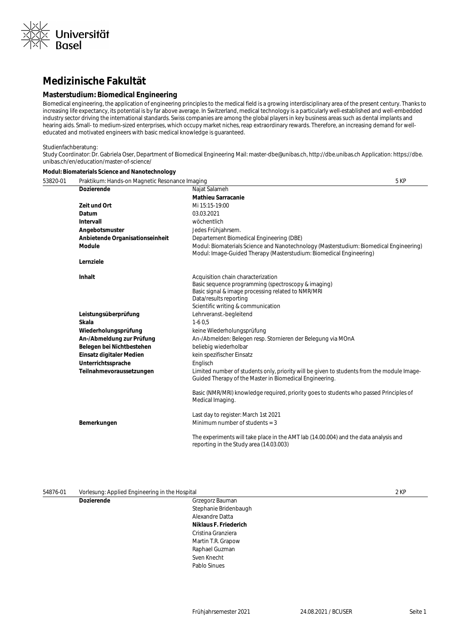

# **Medizinische Fakultät**

# **Masterstudium: Biomedical Engineering**

Biomedical engineering, the application of engineering principles to the medical field is a growing interdisciplinary area of the present century. Thanks to increasing life expectancy, its potential is by far above average. In Switzerland, medical technology is a particularly well-established and well-embedded industry sector driving the international standards. Swiss companies are among the global players in key business areas such as dental implants and hearing aids. Small- to medium-sized enterprises, which occupy market niches, reap extraordinary rewards. Therefore, an increasing demand for welleducated and motivated engineers with basic medical knowledge is guaranteed.

#### Studienfachberatung:

Study Coordinator: Dr. Gabriela Oser, Department of Biomedical Engineering Mail: master-dbe@unibas.ch, http://dbe.unibas.ch Application: https://dbe. unibas.ch/en/education/master-of-science/

### **Modul: Biomaterials Science and Nanotechnology**

| 53820-01 | Praktikum: Hands-on Magnetic Resonance Imaging |                                                                                                                                                                                                                 | 5 KP |
|----------|------------------------------------------------|-----------------------------------------------------------------------------------------------------------------------------------------------------------------------------------------------------------------|------|
|          | <b>Dozierende</b>                              | Najat Salameh                                                                                                                                                                                                   |      |
|          |                                                | <b>Mathieu Sarracanie</b>                                                                                                                                                                                       |      |
|          | Zeit und Ort                                   | Mi 15:15-19:00                                                                                                                                                                                                  |      |
|          | Datum                                          | 03.03.2021                                                                                                                                                                                                      |      |
|          | Intervall                                      | wöchentlich                                                                                                                                                                                                     |      |
|          | Angebotsmuster                                 | Jedes Frühjahrsem.                                                                                                                                                                                              |      |
|          | Anbietende Organisationseinheit                | Departement Biomedical Engineering (DBE)                                                                                                                                                                        |      |
|          | <b>Module</b>                                  | Modul: Biomaterials Science and Nanotechnology (Masterstudium: Biomedical Engineering)<br>Modul: Image-Guided Therapy (Masterstudium: Biomedical Engineering)                                                   |      |
|          | Lernziele                                      |                                                                                                                                                                                                                 |      |
|          | <b>Inhalt</b>                                  | Acquisition chain characterization<br>Basic sequence programming (spectroscopy & imaging)<br>Basic signal & image processing related to NMR/MRI<br>Data/results reporting<br>Scientific writing & communication |      |
|          | Leistungsüberprüfung                           | Lehrveranst.-begleitend                                                                                                                                                                                         |      |
|          | <b>Skala</b>                                   | $1-60,5$                                                                                                                                                                                                        |      |
|          | Wiederholungsprüfung                           | keine Wiederholungsprüfung                                                                                                                                                                                      |      |
|          | An-/Abmeldung zur Prüfung                      | An-/Abmelden: Belegen resp. Stornieren der Belegung via MOnA                                                                                                                                                    |      |
|          | Belegen bei Nichtbestehen                      | beliebig wiederholbar                                                                                                                                                                                           |      |
|          | Einsatz digitaler Medien                       | kein spezifischer Einsatz                                                                                                                                                                                       |      |
|          | Unterrichtssprache                             | Englisch                                                                                                                                                                                                        |      |
|          | Teilnahmevoraussetzungen                       | Limited number of students only, priority will be given to students from the module Image-<br>Guided Therapy of the Master in Biomedical Engineering.                                                           |      |
|          |                                                | Basic (NMR/MRI) knowledge required, priority goes to students who passed Principles of<br>Medical Imaging.                                                                                                      |      |
|          | Bemerkungen                                    | Last day to register: March 1st 2021<br>Minimum number of students $=$ 3                                                                                                                                        |      |
|          |                                                | The experiments will take place in the AMT lab (14.00.004) and the data analysis and<br>reporting in the Study area (14.03.003)                                                                                 |      |
|          |                                                |                                                                                                                                                                                                                 |      |

### 54876-01 Vorlesung: Applied Engineering in the Hospital 2 KP

**Dozierende** Grzegorz Bauman Stephanie Bridenbaugh Alexandre Datta **Niklaus F. Friederich** Cristina Granziera Martin T.R. Grapow Raphael Guzman Sven Knecht Pablo Sinues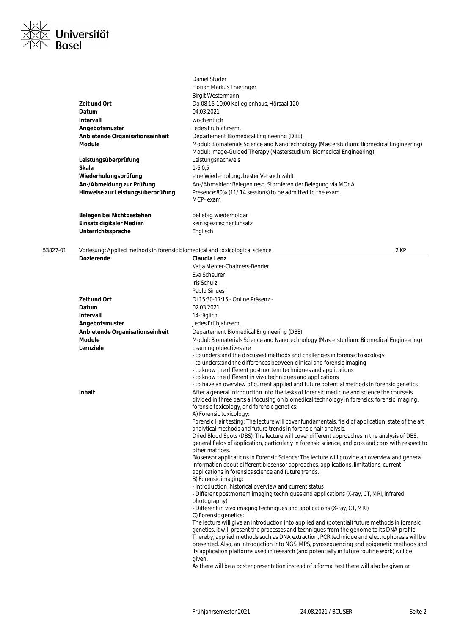

|                                   | Daniel Studer                                                                                                                                                 |
|-----------------------------------|---------------------------------------------------------------------------------------------------------------------------------------------------------------|
|                                   | Florian Markus Thieringer                                                                                                                                     |
|                                   | <b>Birgit Westermann</b>                                                                                                                                      |
| Zeit und Ort                      | Do 08:15-10:00 Kollegienhaus, Hörsaal 120                                                                                                                     |
| Datum                             | 04.03.2021                                                                                                                                                    |
| Intervall                         | wöchentlich                                                                                                                                                   |
| Angebotsmuster                    | Jedes Frühjahrsem.                                                                                                                                            |
| Anbietende Organisationseinheit   | Departement Biomedical Engineering (DBE)                                                                                                                      |
| <b>Module</b>                     | Modul: Biomaterials Science and Nanotechnology (Masterstudium: Biomedical Engineering)<br>Modul: Image-Guided Therapy (Masterstudium: Biomedical Engineering) |
| Leistungsüberprüfung              | Leistungsnachweis                                                                                                                                             |
| Skala                             | $1-60.5$                                                                                                                                                      |
| Wiederholungsprüfung              | eine Wiederholung, bester Versuch zählt                                                                                                                       |
| An-/Abmeldung zur Prüfung         | An-/Abmelden: Belegen resp. Stornieren der Belegung via MOnA                                                                                                  |
| Hinweise zur Leistungsüberprüfung | Presence: 80% (11/14 sessions) to be admitted to the exam.<br>MCP-exam                                                                                        |
| Belegen bei Nichtbestehen         | beliebig wiederholbar                                                                                                                                         |
| Einsatz digitaler Medien          | kein spezifischer Einsatz                                                                                                                                     |

| 53827-01 | Vorlesung: Applied methods in forensic biomedical and toxicological science | 2 KF |
|----------|-----------------------------------------------------------------------------|------|
|----------|-----------------------------------------------------------------------------|------|

**Unterrichtssprache** Englisch

| <b>Dozierende</b>               | Claudia Lenz                                                                                                                                                                             |
|---------------------------------|------------------------------------------------------------------------------------------------------------------------------------------------------------------------------------------|
|                                 | Katja Mercer-Chalmers-Bender                                                                                                                                                             |
|                                 | Eva Scheurer                                                                                                                                                                             |
|                                 | <b>Iris Schulz</b>                                                                                                                                                                       |
|                                 | Pablo Sinues                                                                                                                                                                             |
| Zeit und Ort                    | Di 15:30-17:15 - Online Präsenz -                                                                                                                                                        |
| Datum                           | 02.03.2021                                                                                                                                                                               |
| Intervall                       | 14-täglich                                                                                                                                                                               |
| Angebotsmuster                  | Jedes Frühjahrsem.                                                                                                                                                                       |
| Anbietende Organisationseinheit | Departement Biomedical Engineering (DBE)                                                                                                                                                 |
| <b>Module</b>                   | Modul: Biomaterials Science and Nanotechnology (Masterstudium: Biomedical Engineering)                                                                                                   |
| Lernziele                       | Learning objectives are                                                                                                                                                                  |
|                                 | - to understand the discussed methods and challenges in forensic toxicology                                                                                                              |
|                                 | - to understand the differences between clinical and forensic imaging                                                                                                                    |
|                                 | - to know the different postmortem techniques and applications                                                                                                                           |
|                                 | - to know the different in vivo techniques and applications                                                                                                                              |
|                                 | - to have an overview of current applied and future potential methods in forensic genetics                                                                                               |
| Inhalt                          | After a general introduction into the tasks of forensic medicine and science the course is                                                                                               |
|                                 | divided in three parts all focusing on biomedical technology in forensics: forensic imaging,<br>forensic toxicology, and forensic genetics:                                              |
|                                 | A) Forensic toxicology:                                                                                                                                                                  |
|                                 | Forensic Hair testing: The lecture will cover fundamentals, field of application, state of the art                                                                                       |
|                                 | analytical methods and future trends in forensic hair analysis.                                                                                                                          |
|                                 | Dried Blood Spots (DBS): The lecture will cover different approaches in the analysis of DBS,                                                                                             |
|                                 | general fields of application, particularly in forensic science, and pros and cons with respect to                                                                                       |
|                                 | other matrices.                                                                                                                                                                          |
|                                 | Biosensor applications in Forensic Science: The lecture will provide an overview and general                                                                                             |
|                                 | information about different biosensor approaches, applications, limitations, current                                                                                                     |
|                                 | applications in forensics science and future trends.<br>B) Forensic imaging:                                                                                                             |
|                                 | - Introduction, historical overview and current status                                                                                                                                   |
|                                 | - Different postmortem imaging techniques and applications (X-ray, CT, MRI, infrared                                                                                                     |
|                                 | photography)                                                                                                                                                                             |
|                                 | - Different in vivo imaging techniques and applications (X-ray, CT, MRI)                                                                                                                 |
|                                 | C) Forensic genetics:                                                                                                                                                                    |
|                                 | The lecture will give an introduction into applied and (potential) future methods in forensic                                                                                            |
|                                 | genetics. It will present the processes and techniques from the genome to its DNA profile.                                                                                               |
|                                 | Thereby, applied methods such as DNA extraction, PCR technique and electrophoresis will be                                                                                               |
|                                 | presented. Also, an introduction into NGS, MPS, pyrosequencing and epigenetic methods and<br>its application platforms used in research (and potentially in future routine work) will be |
|                                 | given.                                                                                                                                                                                   |
|                                 | As there will be a poster presentation instead of a formal test there will also be given an                                                                                              |
|                                 |                                                                                                                                                                                          |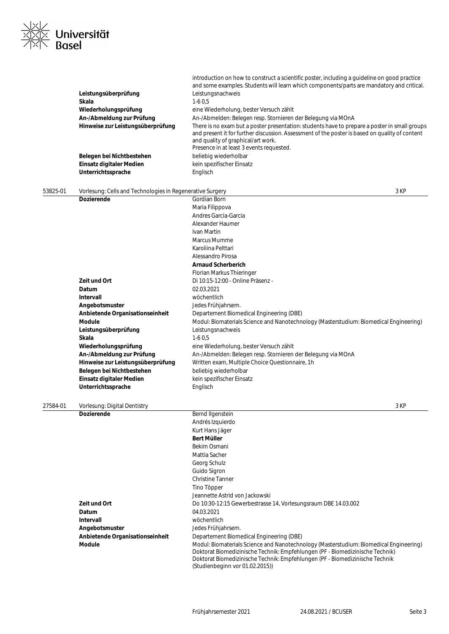

|          | Leistungsüberprüfung<br>Skala<br>Wiederholungsprüfung<br>An-/Abmeldung zur Prüfung<br>Hinweise zur Leistungsüberprüfung<br>Belegen bei Nichtbestehen<br>Einsatz digitaler Medien | introduction on how to construct a scientific poster, including a guideline on good practice<br>and some examples. Students will learn which components/parts are mandatory and critical.<br>Leistungsnachweis<br>$1-60,5$<br>eine Wiederholung, bester Versuch zählt<br>An-/Abmelden: Belegen resp. Stornieren der Belegung via MOnA<br>There is no exam but a poster presentation: students have to prepare a poster in small groups<br>and present it for further discussion. Assessment of the poster is based on quality of content<br>and quality of graphical/art work.<br>Presence in at least 3 events requested.<br>beliebig wiederholbar<br>kein spezifischer Einsatz |
|----------|----------------------------------------------------------------------------------------------------------------------------------------------------------------------------------|----------------------------------------------------------------------------------------------------------------------------------------------------------------------------------------------------------------------------------------------------------------------------------------------------------------------------------------------------------------------------------------------------------------------------------------------------------------------------------------------------------------------------------------------------------------------------------------------------------------------------------------------------------------------------------|
|          | Unterrichtssprache                                                                                                                                                               | Englisch                                                                                                                                                                                                                                                                                                                                                                                                                                                                                                                                                                                                                                                                         |
| 53825-01 | Vorlesung: Cells and Technologies in Regenerative Surgery                                                                                                                        | 3 KP                                                                                                                                                                                                                                                                                                                                                                                                                                                                                                                                                                                                                                                                             |
|          | <b>Dozierende</b>                                                                                                                                                                | Gordian Born                                                                                                                                                                                                                                                                                                                                                                                                                                                                                                                                                                                                                                                                     |
|          |                                                                                                                                                                                  | Maria Filippova<br>Andres Garcia-Garcia                                                                                                                                                                                                                                                                                                                                                                                                                                                                                                                                                                                                                                          |
|          |                                                                                                                                                                                  | Alexander Haumer                                                                                                                                                                                                                                                                                                                                                                                                                                                                                                                                                                                                                                                                 |
|          |                                                                                                                                                                                  | Ivan Martin                                                                                                                                                                                                                                                                                                                                                                                                                                                                                                                                                                                                                                                                      |
|          |                                                                                                                                                                                  | Marcus Mumme                                                                                                                                                                                                                                                                                                                                                                                                                                                                                                                                                                                                                                                                     |
|          |                                                                                                                                                                                  | Karoliina Pelttari                                                                                                                                                                                                                                                                                                                                                                                                                                                                                                                                                                                                                                                               |
|          |                                                                                                                                                                                  | Alessandro Pirosa                                                                                                                                                                                                                                                                                                                                                                                                                                                                                                                                                                                                                                                                |
|          |                                                                                                                                                                                  | <b>Arnaud Scherberich</b>                                                                                                                                                                                                                                                                                                                                                                                                                                                                                                                                                                                                                                                        |
|          |                                                                                                                                                                                  | Florian Markus Thieringer                                                                                                                                                                                                                                                                                                                                                                                                                                                                                                                                                                                                                                                        |
|          | Zeit und Ort                                                                                                                                                                     | Di 10:15-12:00 - Online Präsenz -                                                                                                                                                                                                                                                                                                                                                                                                                                                                                                                                                                                                                                                |
|          | Datum                                                                                                                                                                            | 02.03.2021                                                                                                                                                                                                                                                                                                                                                                                                                                                                                                                                                                                                                                                                       |
|          | <b>Intervall</b>                                                                                                                                                                 | wöchentlich                                                                                                                                                                                                                                                                                                                                                                                                                                                                                                                                                                                                                                                                      |
|          | Angebotsmuster                                                                                                                                                                   | Jedes Frühjahrsem.                                                                                                                                                                                                                                                                                                                                                                                                                                                                                                                                                                                                                                                               |
|          | Anbietende Organisationseinheit                                                                                                                                                  | Departement Biomedical Engineering (DBE)                                                                                                                                                                                                                                                                                                                                                                                                                                                                                                                                                                                                                                         |
|          | Module                                                                                                                                                                           | Modul: Biomaterials Science and Nanotechnology (Masterstudium: Biomedical Engineering)                                                                                                                                                                                                                                                                                                                                                                                                                                                                                                                                                                                           |
|          | Leistungsüberprüfung                                                                                                                                                             | Leistungsnachweis                                                                                                                                                                                                                                                                                                                                                                                                                                                                                                                                                                                                                                                                |
|          | Skala                                                                                                                                                                            | $1-60.5$                                                                                                                                                                                                                                                                                                                                                                                                                                                                                                                                                                                                                                                                         |
|          | Wiederholungsprüfung                                                                                                                                                             | eine Wiederholung, bester Versuch zählt                                                                                                                                                                                                                                                                                                                                                                                                                                                                                                                                                                                                                                          |
|          | An-/Abmeldung zur Prüfung                                                                                                                                                        | An-/Abmelden: Belegen resp. Stornieren der Belegung via MOnA                                                                                                                                                                                                                                                                                                                                                                                                                                                                                                                                                                                                                     |
|          | Hinweise zur Leistungsüberprüfung                                                                                                                                                | Written exam, Multiple Choice Questionnaire, 1h                                                                                                                                                                                                                                                                                                                                                                                                                                                                                                                                                                                                                                  |
|          | Belegen bei Nichtbestehen                                                                                                                                                        | beliebig wiederholbar                                                                                                                                                                                                                                                                                                                                                                                                                                                                                                                                                                                                                                                            |
|          | <b>Einsatz digitaler Medien</b>                                                                                                                                                  | kein spezifischer Einsatz                                                                                                                                                                                                                                                                                                                                                                                                                                                                                                                                                                                                                                                        |
|          | Unterrichtssprache                                                                                                                                                               | Englisch                                                                                                                                                                                                                                                                                                                                                                                                                                                                                                                                                                                                                                                                         |
| 27584-01 | Vorlesung: Digital Dentistry                                                                                                                                                     | 3 KP                                                                                                                                                                                                                                                                                                                                                                                                                                                                                                                                                                                                                                                                             |
|          | Dozierende                                                                                                                                                                       | Bernd Ilgenstein                                                                                                                                                                                                                                                                                                                                                                                                                                                                                                                                                                                                                                                                 |
|          |                                                                                                                                                                                  | Andrés Izquierdo                                                                                                                                                                                                                                                                                                                                                                                                                                                                                                                                                                                                                                                                 |
|          |                                                                                                                                                                                  | Kurt Hans Jäger                                                                                                                                                                                                                                                                                                                                                                                                                                                                                                                                                                                                                                                                  |
|          |                                                                                                                                                                                  | <b>Bert Müller</b>                                                                                                                                                                                                                                                                                                                                                                                                                                                                                                                                                                                                                                                               |
|          |                                                                                                                                                                                  | Bekim Osmani                                                                                                                                                                                                                                                                                                                                                                                                                                                                                                                                                                                                                                                                     |
|          |                                                                                                                                                                                  | Mattia Sacher                                                                                                                                                                                                                                                                                                                                                                                                                                                                                                                                                                                                                                                                    |
|          |                                                                                                                                                                                  | Georg Schulz                                                                                                                                                                                                                                                                                                                                                                                                                                                                                                                                                                                                                                                                     |
|          |                                                                                                                                                                                  | Guido Sigron                                                                                                                                                                                                                                                                                                                                                                                                                                                                                                                                                                                                                                                                     |
|          |                                                                                                                                                                                  | <b>Christine Tanner</b>                                                                                                                                                                                                                                                                                                                                                                                                                                                                                                                                                                                                                                                          |
|          |                                                                                                                                                                                  | Tino Töpper                                                                                                                                                                                                                                                                                                                                                                                                                                                                                                                                                                                                                                                                      |
|          |                                                                                                                                                                                  | Jeannette Astrid von Jackowski                                                                                                                                                                                                                                                                                                                                                                                                                                                                                                                                                                                                                                                   |
|          | Zeit und Ort<br>Datum                                                                                                                                                            | Do 10:30-12:15 Gewerbestrasse 14, Vorlesungsraum DBE 14.03.002                                                                                                                                                                                                                                                                                                                                                                                                                                                                                                                                                                                                                   |
|          | <b>Intervall</b>                                                                                                                                                                 | 04.03.2021<br>wöchentlich                                                                                                                                                                                                                                                                                                                                                                                                                                                                                                                                                                                                                                                        |
|          | Angebotsmuster                                                                                                                                                                   | Jedes Frühjahrsem.                                                                                                                                                                                                                                                                                                                                                                                                                                                                                                                                                                                                                                                               |
|          | Anbietende Organisationseinheit                                                                                                                                                  | Departement Biomedical Engineering (DBE)                                                                                                                                                                                                                                                                                                                                                                                                                                                                                                                                                                                                                                         |
|          | Module                                                                                                                                                                           | Modul: Biomaterials Science and Nanotechnology (Masterstudium: Biomedical Engineering)<br>Doktorat Biomedizinische Technik: Empfehlungen (PE - Biomedizinische Technik)                                                                                                                                                                                                                                                                                                                                                                                                                                                                                                          |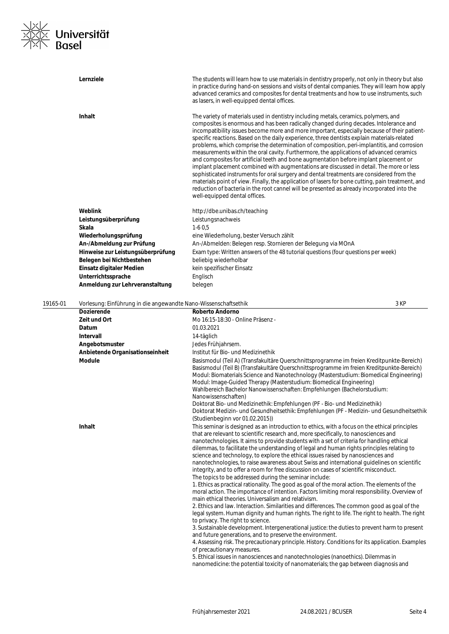

|          | Lernziele                                                       | The students will learn how to use materials in dentistry properly, not only in theory but also<br>in practice during hand-on sessions and visits of dental companies. They will learn how apply<br>advanced ceramics and composites for dental treatments and how to use instruments, such<br>as lasers, in well-equipped dental offices.                                                                                                                                                                                                                                                                                                                                                                                                                                                                                                                                                                                                                                                                                                                                                |
|----------|-----------------------------------------------------------------|-------------------------------------------------------------------------------------------------------------------------------------------------------------------------------------------------------------------------------------------------------------------------------------------------------------------------------------------------------------------------------------------------------------------------------------------------------------------------------------------------------------------------------------------------------------------------------------------------------------------------------------------------------------------------------------------------------------------------------------------------------------------------------------------------------------------------------------------------------------------------------------------------------------------------------------------------------------------------------------------------------------------------------------------------------------------------------------------|
|          | Inhalt                                                          | The variety of materials used in dentistry including metals, ceramics, polymers, and<br>composites is enormous and has been radically changed during decades. Intolerance and<br>incompatibility issues become more and more important, especially because of their patient-<br>specific reactions. Based on the daily experience, three dentists explain materials-related<br>problems, which comprise the determination of composition, peri-implantitis, and corrosion<br>measurements within the oral cavity. Furthermore, the applications of advanced ceramics<br>and composites for artificial teeth and bone augmentation before implant placement or<br>implant placement combined with augmentations are discussed in detail. The more or less<br>sophisticated instruments for oral surgery and dental treatments are considered from the<br>materials point of view. Finally, the application of lasers for bone cutting, pain treatment, and<br>reduction of bacteria in the root cannel will be presented as already incorporated into the<br>well-equipped dental offices. |
|          | Weblink                                                         | http://dbe.unibas.ch/teaching                                                                                                                                                                                                                                                                                                                                                                                                                                                                                                                                                                                                                                                                                                                                                                                                                                                                                                                                                                                                                                                             |
|          | Leistungsüberprüfung                                            | Leistungsnachweis                                                                                                                                                                                                                                                                                                                                                                                                                                                                                                                                                                                                                                                                                                                                                                                                                                                                                                                                                                                                                                                                         |
|          | Skala                                                           | $1-60.5$                                                                                                                                                                                                                                                                                                                                                                                                                                                                                                                                                                                                                                                                                                                                                                                                                                                                                                                                                                                                                                                                                  |
|          | Wiederholungsprüfung                                            | eine Wiederholung, bester Versuch zählt                                                                                                                                                                                                                                                                                                                                                                                                                                                                                                                                                                                                                                                                                                                                                                                                                                                                                                                                                                                                                                                   |
|          | An-/Abmeldung zur Prüfung                                       | An-/Abmelden: Belegen resp. Stornieren der Belegung via MOnA                                                                                                                                                                                                                                                                                                                                                                                                                                                                                                                                                                                                                                                                                                                                                                                                                                                                                                                                                                                                                              |
|          | Hinweise zur Leistungsüberprüfung                               | Exam type: Written answers of the 48 tutorial questions (four questions per week)                                                                                                                                                                                                                                                                                                                                                                                                                                                                                                                                                                                                                                                                                                                                                                                                                                                                                                                                                                                                         |
|          | Belegen bei Nichtbestehen                                       | beliebig wiederholbar                                                                                                                                                                                                                                                                                                                                                                                                                                                                                                                                                                                                                                                                                                                                                                                                                                                                                                                                                                                                                                                                     |
|          | Einsatz digitaler Medien                                        | kein spezifischer Einsatz                                                                                                                                                                                                                                                                                                                                                                                                                                                                                                                                                                                                                                                                                                                                                                                                                                                                                                                                                                                                                                                                 |
|          | Unterrichtssprache                                              | Englisch                                                                                                                                                                                                                                                                                                                                                                                                                                                                                                                                                                                                                                                                                                                                                                                                                                                                                                                                                                                                                                                                                  |
|          | Anmeldung zur Lehrveranstaltung                                 | belegen                                                                                                                                                                                                                                                                                                                                                                                                                                                                                                                                                                                                                                                                                                                                                                                                                                                                                                                                                                                                                                                                                   |
| 19165-01 | Vorlesung: Einführung in die angewandte Nano-Wissenschaftsethik | 3 KP                                                                                                                                                                                                                                                                                                                                                                                                                                                                                                                                                                                                                                                                                                                                                                                                                                                                                                                                                                                                                                                                                      |
|          | <b>Dozierende</b>                                               | <b>Roberto Andorno</b>                                                                                                                                                                                                                                                                                                                                                                                                                                                                                                                                                                                                                                                                                                                                                                                                                                                                                                                                                                                                                                                                    |
|          | Zeit und Ort                                                    | Mo 16:15-18:30 - Online Präsenz -                                                                                                                                                                                                                                                                                                                                                                                                                                                                                                                                                                                                                                                                                                                                                                                                                                                                                                                                                                                                                                                         |
|          | Datum                                                           | 01.03.2021                                                                                                                                                                                                                                                                                                                                                                                                                                                                                                                                                                                                                                                                                                                                                                                                                                                                                                                                                                                                                                                                                |
|          | Intervall                                                       | 14-täglich                                                                                                                                                                                                                                                                                                                                                                                                                                                                                                                                                                                                                                                                                                                                                                                                                                                                                                                                                                                                                                                                                |
|          | Angebotsmuster                                                  | Jedes Frühjahrsem.                                                                                                                                                                                                                                                                                                                                                                                                                                                                                                                                                                                                                                                                                                                                                                                                                                                                                                                                                                                                                                                                        |
|          | Anbietende Organisationseinheit                                 | Institut für Bio- und Medizinethik                                                                                                                                                                                                                                                                                                                                                                                                                                                                                                                                                                                                                                                                                                                                                                                                                                                                                                                                                                                                                                                        |
|          | <b>Module</b>                                                   | Basismodul (Teil A) (Transfakultäre Querschnittsprogramme im freien Kreditpunkte-Bereich)<br>Basismodul (Teil B) (Transfakultäre Querschnittsprogramme im freien Kreditpunkte-Bereich)<br>Modul: Biomaterials Science and Nanotechnology (Masterstudium: Biomedical Engineering)<br>Modul: Image-Guided Therapy (Masterstudium: Biomedical Engineering)<br>Wahlbereich Bachelor Nanowissenschaften: Empfehlungen (Bachelorstudium:<br>Nanowissenschaften)<br>Doktorat Bio- und Medizinethik: Empfehlungen (PF - Bio- und Medizinethik)<br>Doktorat Medizin- und Gesundheitsethik: Empfehlungen (PF - Medizin- und Gesundheitsethik                                                                                                                                                                                                                                                                                                                                                                                                                                                        |
|          |                                                                 | (Studienbeginn vor 01.02.2015))                                                                                                                                                                                                                                                                                                                                                                                                                                                                                                                                                                                                                                                                                                                                                                                                                                                                                                                                                                                                                                                           |
|          | Inhalt                                                          | This seminar is designed as an introduction to ethics, with a focus on the ethical principles                                                                                                                                                                                                                                                                                                                                                                                                                                                                                                                                                                                                                                                                                                                                                                                                                                                                                                                                                                                             |
|          |                                                                 | that are relevant to scientific research and, more specifically, to nanosciences and<br>nanotechnologies. It aims to provide students with a set of criteria for handling ethical<br>dilemmas, to facilitate the understanding of legal and human rights principles relating to<br>science and technology, to explore the ethical issues raised by nanosciences and<br>nanotechnologies, to raise awareness about Swiss and international guidelines on scientific<br>integrity, and to offer a room for free discussion on cases of scientific misconduct.                                                                                                                                                                                                                                                                                                                                                                                                                                                                                                                               |
|          |                                                                 | The topics to be addressed during the seminar include:<br>1. Ethics as practical rationality. The good as goal of the moral action. The elements of the<br>moral action. The importance of intention. Factors limiting moral responsibility. Overview of<br>main ethical theories. Universalism and relativism.                                                                                                                                                                                                                                                                                                                                                                                                                                                                                                                                                                                                                                                                                                                                                                           |
|          |                                                                 | 2. Ethics and law. Interaction. Similarities and differences. The common good as goal of the<br>legal system. Human dignity and human rights. The right to life. The right to health. The right<br>to privacy. The right to science.                                                                                                                                                                                                                                                                                                                                                                                                                                                                                                                                                                                                                                                                                                                                                                                                                                                      |
|          |                                                                 | 3. Sustainable development. Intergenerational justice: the duties to prevent harm to present<br>and future generations, and to preserve the environment.                                                                                                                                                                                                                                                                                                                                                                                                                                                                                                                                                                                                                                                                                                                                                                                                                                                                                                                                  |
|          |                                                                 | 4. Assessing risk. The precautionary principle. History. Conditions for its application. Examples                                                                                                                                                                                                                                                                                                                                                                                                                                                                                                                                                                                                                                                                                                                                                                                                                                                                                                                                                                                         |

of precautionary measures.

5. Ethical issues in nanosciences and nanotechnologies (nanoethics). Dilemmas in nanomedicine: the potential toxicity of nanomaterials; the gap between diagnosis and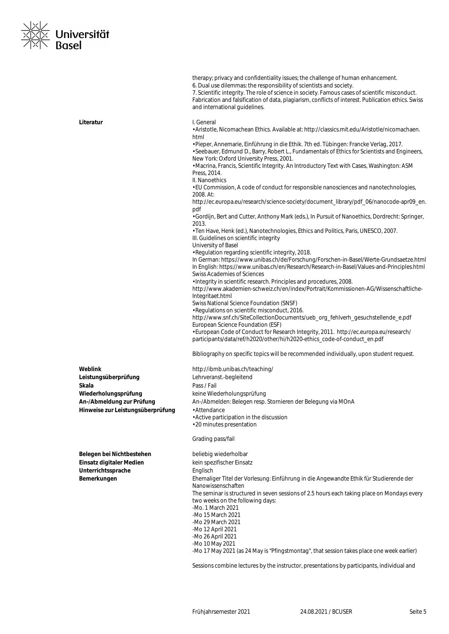

|                                                | therapy; privacy and confidentiality issues; the challenge of human enhancement.<br>6. Dual use dilemmas: the responsibility of scientists and society.<br>7. Scientific integrity. The role of science in society. Famous cases of scientific misconduct.<br>Fabrication and falsification of data, plagiarism, conflicts of interest. Publication ethics. Swiss<br>and international guidelines. |
|------------------------------------------------|----------------------------------------------------------------------------------------------------------------------------------------------------------------------------------------------------------------------------------------------------------------------------------------------------------------------------------------------------------------------------------------------------|
| Literatur                                      | I. General<br>· Aristotle, Nicomachean Ethics. Available at: http://classics.mit.edu/Aristotle/nicomachaen.                                                                                                                                                                                                                                                                                        |
|                                                | html<br>• Pieper, Annemarie, Einführung in die Ethik. 7th ed. Tübingen: Francke Verlag, 2017.<br>• Seebauer, Edmund D., Barry, Robert L., Fundamentals of Ethics for Scientists and Engineers,<br>New York: Oxford University Press, 2001.                                                                                                                                                         |
|                                                | · Macrina, Francis, Scientific Integrity. An Introductory Text with Cases, Washington: ASM<br>Press, 2014.                                                                                                                                                                                                                                                                                         |
|                                                | II. Nanoethics<br>• EU Commission, A code of conduct for responsible nanosciences and nanotechnologies,<br>2008. At:                                                                                                                                                                                                                                                                               |
|                                                | http://ec.europa.eu/research/science-society/document_library/pdf_06/nanocode-apr09_en.<br>pdf                                                                                                                                                                                                                                                                                                     |
|                                                | . Gordijn, Bert and Cutter, Anthony Mark (eds.), In Pursuit of Nanoethics, Dordrecht: Springer,<br>2013.<br>• Ten Have, Henk (ed.), Nanotechnologies, Ethics and Politics, Paris, UNESCO, 2007.                                                                                                                                                                                                    |
|                                                | III. Guidelines on scientific integrity<br>University of Basel                                                                                                                                                                                                                                                                                                                                     |
|                                                | · Regulation regarding scientific integrity, 2018.<br>In German: https://www.unibas.ch/de/Forschung/Forschen-in-Basel/Werte-Grundsaetze.html<br>In English: https://www.unibas.ch/en/Research/Research-in-Basel/Values-and-Principles.html<br><b>Swiss Academies of Sciences</b>                                                                                                                   |
|                                                | · Integrity in scientific research. Principles and procedures, 2008.<br>http://www.akademien-schweiz.ch/en/index/Portrait/Kommissionen-AG/Wissenschaftliche-<br>Integritaet.html                                                                                                                                                                                                                   |
|                                                | <b>Swiss National Science Foundation (SNSF)</b><br>· Regulations on scientific misconduct, 2016.<br>http://www.snf.ch/SiteCollectionDocuments/ueb_org_fehlverh_gesuchstellende_e.pdf                                                                                                                                                                                                               |
|                                                | European Science Foundation (ESF)<br>· European Code of Conduct for Research Integrity, 2011. http://ec.europa.eu/research/<br>participants/data/ref/h2020/other/hi/h2020-ethics_code-of-conduct_en.pdf                                                                                                                                                                                            |
|                                                | Bibliography on specific topics will be recommended individually, upon student request.                                                                                                                                                                                                                                                                                                            |
| Weblink<br>Leistungsüberprüfung                | http://ibmb.unibas.ch/teaching/<br>Lehrveranst.-begleitend                                                                                                                                                                                                                                                                                                                                         |
| Skala                                          | Pass / Fail                                                                                                                                                                                                                                                                                                                                                                                        |
| Wiederholungsprüfung                           | keine Wiederholungsprüfung                                                                                                                                                                                                                                                                                                                                                                         |
| An-/Abmeldung zur Prüfung                      | An-/Abmelden: Belegen resp. Stornieren der Belegung via MOnA                                                                                                                                                                                                                                                                                                                                       |
| Hinweise zur Leistungsüberprüfung              | • Attendance<br>• Active participation in the discussion<br>•20 minutes presentation                                                                                                                                                                                                                                                                                                               |
|                                                | Grading pass/fail                                                                                                                                                                                                                                                                                                                                                                                  |
| Belegen bei Nichtbestehen                      | beliebig wiederholbar                                                                                                                                                                                                                                                                                                                                                                              |
| Einsatz digitaler Medien<br>Unterrichtssprache | kein spezifischer Einsatz                                                                                                                                                                                                                                                                                                                                                                          |
| Bemerkungen                                    | Englisch<br>Ehemaliger Titel der Vorlesung: Einführung in die Angewandte Ethik für Studierende der<br>Nanowissenschaften                                                                                                                                                                                                                                                                           |
|                                                | The seminar is structured in seven sessions of 2.5 hours each taking place on Mondays every<br>two weeks on the following days:                                                                                                                                                                                                                                                                    |
|                                                | -Mo. 1 March 2021<br>-Mo 15 March 2021                                                                                                                                                                                                                                                                                                                                                             |
|                                                | -Mo 29 March 2021                                                                                                                                                                                                                                                                                                                                                                                  |
|                                                | -Mo 12 April 2021                                                                                                                                                                                                                                                                                                                                                                                  |
|                                                | -Mo 26 April 2021<br>-Mo 10 May 2021                                                                                                                                                                                                                                                                                                                                                               |

-Mo 17 May 2021 (as 24 May is "Pfingstmontag", that session takes place one week earlier) Sessions combine lectures by the instructor, presentations by participants, individual and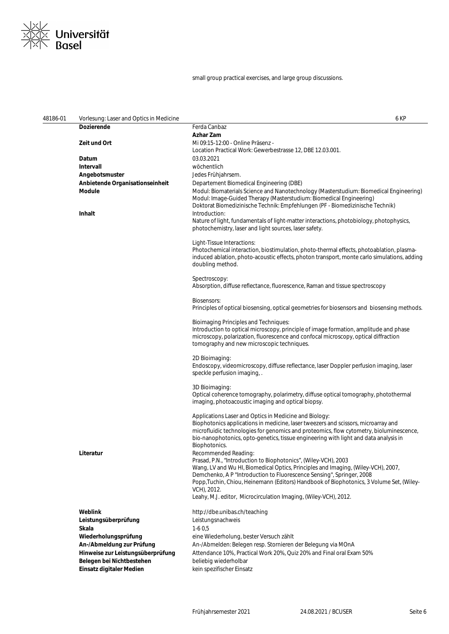

# small group practical exercises, and large group discussions.

| 48186-01 | Vorlesung: Laser and Optics in Medicine                    | 6 KP                                                                                                                                                                                                                                                                                                                                                                                                                                 |
|----------|------------------------------------------------------------|--------------------------------------------------------------------------------------------------------------------------------------------------------------------------------------------------------------------------------------------------------------------------------------------------------------------------------------------------------------------------------------------------------------------------------------|
|          | <b>Dozierende</b>                                          | Ferda Canbaz                                                                                                                                                                                                                                                                                                                                                                                                                         |
|          |                                                            | <b>Azhar Zam</b>                                                                                                                                                                                                                                                                                                                                                                                                                     |
|          | Zeit und Ort                                               | Mi 09:15-12:00 - Online Präsenz -                                                                                                                                                                                                                                                                                                                                                                                                    |
|          |                                                            | Location Practical Work: Gewerbestrasse 12, DBE 12.03.001.                                                                                                                                                                                                                                                                                                                                                                           |
|          | Datum                                                      | 03.03.2021                                                                                                                                                                                                                                                                                                                                                                                                                           |
|          | Intervall                                                  | wöchentlich                                                                                                                                                                                                                                                                                                                                                                                                                          |
|          | Angebotsmuster                                             | Jedes Frühjahrsem.                                                                                                                                                                                                                                                                                                                                                                                                                   |
|          | Anbietende Organisationseinheit<br><b>Module</b><br>Inhalt | Departement Biomedical Engineering (DBE)<br>Modul: Biomaterials Science and Nanotechnology (Masterstudium: Biomedical Engineering)<br>Modul: Image-Guided Therapy (Masterstudium: Biomedical Engineering)<br>Doktorat Biomedizinische Technik: Empfehlungen (PF - Biomedizinische Technik)<br>Introduction:                                                                                                                          |
|          |                                                            | Nature of light, fundamentals of light-matter interactions, photobiology, photophysics,<br>photochemistry, laser and light sources, laser safety.                                                                                                                                                                                                                                                                                    |
|          |                                                            | Light-Tissue Interactions:<br>Photochemical interaction, biostimulation, photo-thermal effects, photoablation, plasma-<br>induced ablation, photo-acoustic effects, photon transport, monte carlo simulations, adding<br>doubling method.                                                                                                                                                                                            |
|          |                                                            | Spectroscopy:<br>Absorption, diffuse reflectance, fluorescence, Raman and tissue spectroscopy                                                                                                                                                                                                                                                                                                                                        |
|          |                                                            | <b>Biosensors:</b><br>Principles of optical biosensing, optical geometries for biosensors and biosensing methods.                                                                                                                                                                                                                                                                                                                    |
|          |                                                            | <b>Bioimaging Principles and Techniques:</b><br>Introduction to optical microscopy, principle of image formation, amplitude and phase<br>microscopy, polarization, fluorescence and confocal microscopy, optical diffraction<br>tomography and new microscopic techniques.                                                                                                                                                           |
|          |                                                            | 2D Bioimaging:<br>Endoscopy, videomicroscopy, diffuse reflectance, laser Doppler perfusion imaging, laser<br>speckle perfusion imaging, .                                                                                                                                                                                                                                                                                            |
|          |                                                            | 3D Bioimaging:<br>Optical coherence tomography, polarimetry, diffuse optical tomography, photothermal<br>imaging, photoacoustic imaging and optical biopsy.                                                                                                                                                                                                                                                                          |
|          |                                                            | Applications Laser and Optics in Medicine and Biology:<br>Biophotonics applications in medicine, laser tweezers and scissors, microarray and<br>microfluidic technologies for genomics and proteomics, flow cytometry, bioluminescence,<br>bio-nanophotonics, opto-genetics, tissue engineering with light and data analysis in<br>Biophotonics.                                                                                     |
|          | Literatur                                                  | Recommended Reading:<br>Prasad, P.N., "Introduction to Biophotonics", (Wiley-VCH), 2003<br>Wang, LV and Wu HI, Biomedical Optics, Principles and Imaging, (Wiley-VCH), 2007,<br>Demchenko, A P "Introduction to Fluorescence Sensing", Springer, 2008<br>Popp, Tuchin, Chiou, Heinemann (Editors) Handbook of Biophotonics, 3 Volume Set, (Wiley-<br>VCH), 2012.<br>Leahy, M.J. editor, Microcirculation Imaging, (Wiley-VCH), 2012. |
|          |                                                            |                                                                                                                                                                                                                                                                                                                                                                                                                                      |
|          | Weblink                                                    | http://dbe.unibas.ch/teaching<br>Leistungsnachweis                                                                                                                                                                                                                                                                                                                                                                                   |
|          | Leistungsüberprüfung<br>Skala                              | $1-60,5$                                                                                                                                                                                                                                                                                                                                                                                                                             |
|          | Wiederholungsprüfung                                       | eine Wiederholung, bester Versuch zählt                                                                                                                                                                                                                                                                                                                                                                                              |
|          | An-/Abmeldung zur Prüfung                                  | An-/Abmelden: Belegen resp. Stornieren der Belegung via MOnA                                                                                                                                                                                                                                                                                                                                                                         |
|          | Hinweise zur Leistungsüberprüfung                          | Attendance 10%, Practical Work 20%, Quiz 20% and Final oral Exam 50%                                                                                                                                                                                                                                                                                                                                                                 |
|          | Belegen bei Nichtbestehen                                  | beliebig wiederholbar                                                                                                                                                                                                                                                                                                                                                                                                                |
|          | Einsatz digitaler Medien                                   | kein spezifischer Einsatz                                                                                                                                                                                                                                                                                                                                                                                                            |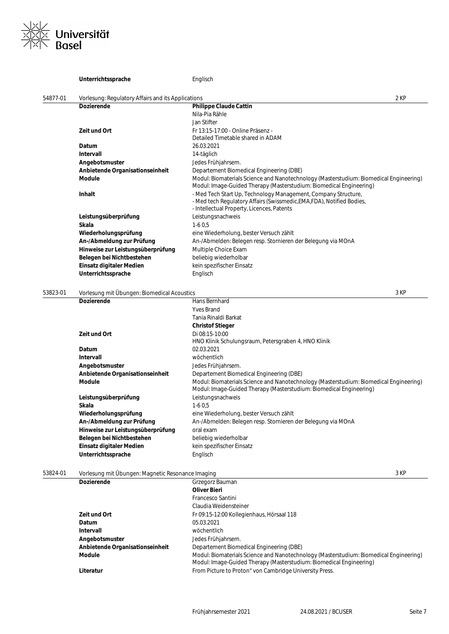

|          | Unterrichtssprache                                 | Englisch                                                                                                                                                                               |      |
|----------|----------------------------------------------------|----------------------------------------------------------------------------------------------------------------------------------------------------------------------------------------|------|
| 54877-01 | Vorlesung: Regulatory Affairs and its Applications |                                                                                                                                                                                        | 2 KP |
|          | <b>Dozierende</b>                                  | <b>Philippe Claude Cattin</b>                                                                                                                                                          |      |
|          |                                                    | Nila-Pia Rähle                                                                                                                                                                         |      |
|          |                                                    | Jan Stifter                                                                                                                                                                            |      |
|          | <b>Zeit und Ort</b>                                | Fr 13:15-17:00 - Online Präsenz -                                                                                                                                                      |      |
|          |                                                    | Detailed Timetable shared in ADAM                                                                                                                                                      |      |
|          | Datum                                              | 26.03.2021                                                                                                                                                                             |      |
|          | <b>Intervall</b>                                   | 14-täglich                                                                                                                                                                             |      |
|          | Angebotsmuster                                     | Jedes Frühjahrsem.                                                                                                                                                                     |      |
|          | Anbietende Organisationseinheit                    | Departement Biomedical Engineering (DBE)                                                                                                                                               |      |
|          | <b>Module</b>                                      | Modul: Biomaterials Science and Nanotechnology (Masterstudium: Biomedical Engineering)<br>Modul: Image-Guided Therapy (Masterstudium: Biomedical Engineering)                          |      |
|          | Inhalt                                             | - Med Tech Start Up, Technology Management, Company Structure,<br>- Med tech Regulatory Affairs (Swissmedic, EMA, FDA), Notified Bodies,<br>- Intellectual Property, Licences, Patents |      |
|          | Leistungsüberprüfung                               | Leistungsnachweis                                                                                                                                                                      |      |
|          | Skala                                              | $1-60.5$                                                                                                                                                                               |      |
|          | Wiederholungsprüfung                               | eine Wiederholung, bester Versuch zählt                                                                                                                                                |      |
|          | An-/Abmeldung zur Prüfung                          | An-/Abmelden: Belegen resp. Stornieren der Belegung via MOnA                                                                                                                           |      |
|          | Hinweise zur Leistungsüberprüfung                  |                                                                                                                                                                                        |      |
|          |                                                    | Multiple Choice Exam                                                                                                                                                                   |      |
|          | Belegen bei Nichtbestehen                          | beliebig wiederholbar                                                                                                                                                                  |      |
|          | Einsatz digitaler Medien                           | kein spezifischer Einsatz                                                                                                                                                              |      |
|          | Unterrichtssprache                                 | Englisch                                                                                                                                                                               |      |
| 53823-01 | Vorlesung mit Übungen: Biomedical Acoustics        |                                                                                                                                                                                        | 3 KP |
|          | <b>Dozierende</b>                                  | Hans Bernhard                                                                                                                                                                          |      |
|          |                                                    | <b>Yves Brand</b>                                                                                                                                                                      |      |
|          |                                                    | Tania Rinaldi Barkat                                                                                                                                                                   |      |
|          |                                                    | <b>Christof Stieger</b>                                                                                                                                                                |      |
|          | <b>Zeit und Ort</b>                                | Di 08:15-10:00                                                                                                                                                                         |      |
|          |                                                    | HNO Klinik Schulungsraum, Petersgraben 4, HNO Klinik                                                                                                                                   |      |
|          | Datum                                              | 02.03.2021                                                                                                                                                                             |      |
|          | Intervall                                          | wöchentlich                                                                                                                                                                            |      |
|          |                                                    |                                                                                                                                                                                        |      |
|          | Angebotsmuster                                     | Jedes Frühjahrsem.                                                                                                                                                                     |      |
|          | Anbietende Organisationseinheit                    | Departement Biomedical Engineering (DBE)                                                                                                                                               |      |
|          | <b>Module</b>                                      | Modul: Biomaterials Science and Nanotechnology (Masterstudium: Biomedical Engineering)<br>Modul: Image-Guided Therapy (Masterstudium: Biomedical Engineering)                          |      |
|          | Leistungsüberprüfung                               | Leistungsnachweis                                                                                                                                                                      |      |
|          | Skala                                              | $1-60,5$                                                                                                                                                                               |      |
|          | Wiederholungsprüfung                               | eine Wiederholung, bester Versuch zählt                                                                                                                                                |      |
|          | An-/Abmeldung zur Prüfung                          | An-/Abmelden: Belegen resp. Stornieren der Belegung via MOnA                                                                                                                           |      |
|          | Hinweise zur Leistungsüberprüfung                  | oral exam                                                                                                                                                                              |      |
|          | Belegen bei Nichtbestehen                          | beliebig wiederholbar                                                                                                                                                                  |      |
|          | Einsatz digitaler Medien                           | kein spezifischer Einsatz                                                                                                                                                              |      |
|          | Unterrichtssprache                                 | Englisch                                                                                                                                                                               |      |
| 53824-01 |                                                    |                                                                                                                                                                                        | 3 KP |
|          | Vorlesung mit Übungen: Magnetic Resonance Imaging  |                                                                                                                                                                                        |      |
|          | <b>Dozierende</b>                                  | Grzegorz Bauman<br>Oliver Bieri                                                                                                                                                        |      |
|          |                                                    | Francesco Santini                                                                                                                                                                      |      |
|          |                                                    | Claudia Weidensteiner                                                                                                                                                                  |      |
|          | Zeit und Ort                                       | Fr 09:15-12:00 Kollegienhaus, Hörsaal 118                                                                                                                                              |      |
|          | Datum                                              | 05.03.2021                                                                                                                                                                             |      |
|          | <b>Intervall</b>                                   | wöchentlich                                                                                                                                                                            |      |
|          | Angebotsmuster                                     | Jedes Frühjahrsem.                                                                                                                                                                     |      |
|          | Anbietende Organisationseinheit                    | Departement Biomedical Engineering (DBE)                                                                                                                                               |      |
|          |                                                    |                                                                                                                                                                                        |      |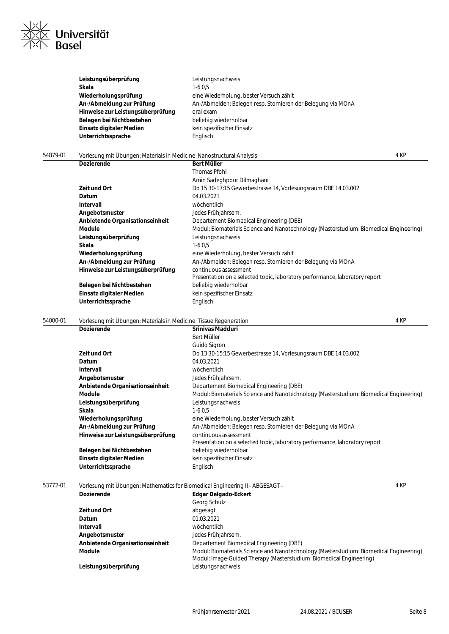

|          | Leistungsüberprüfung                                                  | Leistungsnachweis                                            |      |
|----------|-----------------------------------------------------------------------|--------------------------------------------------------------|------|
|          | Skala                                                                 | $1-60.5$                                                     |      |
|          | Wiederholungsprüfung                                                  | eine Wiederholung, bester Versuch zählt                      |      |
|          | An-/Abmeldung zur Prüfung                                             | An-/Abmelden: Belegen resp. Stornieren der Belegung via MOnA |      |
|          | Hinweise zur Leistungsüberprüfung                                     | oral exam                                                    |      |
|          | Belegen bei Nichtbestehen                                             | beliebig wiederholbar                                        |      |
|          | Einsatz digitaler Medien                                              | kein spezifischer Einsatz                                    |      |
|          | Unterrichtssprache                                                    | Englisch                                                     |      |
| 54879-01 | Vorlesung mit Übungen: Materials in Medicine: Nanostructural Analysis |                                                              | 4 KP |
|          | <b>Dozierende</b>                                                     | <b>Bert Müller</b>                                           |      |
|          |                                                                       | Thomas Dfohl                                                 |      |

|                                   | Thomas Pioni                                                                           |
|-----------------------------------|----------------------------------------------------------------------------------------|
|                                   | Amin Sadeghpour Dilmaghani                                                             |
| Zeit und Ort                      | Do 15:30-17:15 Gewerbestrasse 14, Vorlesungsraum DBE 14.03.002                         |
| Datum                             | 04.03.2021                                                                             |
| Intervall                         | wöchentlich                                                                            |
| Angebotsmuster                    | Jedes Frühjahrsem.                                                                     |
| Anbietende Organisationseinheit   | Departement Biomedical Engineering (DBE)                                               |
| Module                            | Modul: Biomaterials Science and Nanotechnology (Masterstudium: Biomedical Engineering) |
| Leistungsüberprüfung              | Leistungsnachweis                                                                      |
| Skala                             | $1-60.5$                                                                               |
| Wiederholungsprüfung              | eine Wiederholung, bester Versuch zählt                                                |
| An-/Abmeldung zur Prüfung         | An-/Abmelden: Belegen resp. Stornieren der Belegung via MOnA                           |
| Hinweise zur Leistungsüberprüfung | continuous assessment                                                                  |
|                                   | Presentation on a selected topic, laboratory performance, laboratory report            |
| Belegen bei Nichtbestehen         | beliebig wiederholbar                                                                  |
| Einsatz digitaler Medien          | kein spezifischer Einsatz                                                              |
| Unterrichtssprache                | Englisch                                                                               |
|                                   |                                                                                        |

| 54000-01 | Vorlesung mit Übungen: Materials in Medicine: Tissue Regeneration |                                                                                        | 4 KP |
|----------|-------------------------------------------------------------------|----------------------------------------------------------------------------------------|------|
|          | <b>Dozierende</b>                                                 | Srinivas Madduri                                                                       |      |
|          |                                                                   | Bert Müller                                                                            |      |
|          |                                                                   | Guido Sigron                                                                           |      |
|          | Zeit und Ort                                                      | Do 13:30-15:15 Gewerbestrasse 14, Vorlesungsraum DBE 14.03.002                         |      |
|          | Datum                                                             | 04.03.2021                                                                             |      |
|          | <b>Intervall</b>                                                  | wöchentlich                                                                            |      |
|          | Angebotsmuster                                                    | Jedes Frühjahrsem.                                                                     |      |
|          | Anbietende Organisationseinheit                                   | Departement Biomedical Engineering (DBE)                                               |      |
|          | <b>Module</b>                                                     | Modul: Biomaterials Science and Nanotechnology (Masterstudium: Biomedical Engineering) |      |
|          | Leistungsüberprüfung                                              | Leistungsnachweis                                                                      |      |
|          | Skala                                                             | $1-60,5$                                                                               |      |
|          | Wiederholungsprüfung                                              | eine Wiederholung, bester Versuch zählt                                                |      |
|          | An-/Abmeldung zur Prüfung                                         | An-/Abmelden: Belegen resp. Stornieren der Belegung via MOnA                           |      |
|          | Hinweise zur Leistungsüberprüfung                                 | continuous assessment                                                                  |      |
|          |                                                                   | Presentation on a selected topic, laboratory performance, laboratory report            |      |
|          | Belegen bei Nichtbestehen                                         | beliebig wiederholbar                                                                  |      |
|          | Einsatz digitaler Medien                                          | kein spezifischer Einsatz                                                              |      |
|          | Unterrichtssprache                                                | Englisch                                                                               |      |

| 53772-01 | Vorlesung mit Übungen: Mathematics for Biomedical Engineering II - ABGESAGT - |                                                                                                                                                               | 4 KP |
|----------|-------------------------------------------------------------------------------|---------------------------------------------------------------------------------------------------------------------------------------------------------------|------|
|          | <b>Dozierende</b>                                                             | <b>Edgar Delgado-Eckert</b>                                                                                                                                   |      |
|          |                                                                               | Georg Schulz                                                                                                                                                  |      |
|          | Zeit und Ort                                                                  | abgesagt                                                                                                                                                      |      |
|          | <b>Datum</b>                                                                  | 01.03.2021                                                                                                                                                    |      |
|          | Intervall                                                                     | wöchentlich                                                                                                                                                   |      |
|          | Angebotsmuster                                                                | Jedes Frühjahrsem.                                                                                                                                            |      |
|          | Anbietende Organisationseinheit                                               | Departement Biomedical Engineering (DBE)                                                                                                                      |      |
|          | <b>Module</b>                                                                 | Modul: Biomaterials Science and Nanotechnology (Masterstudium: Biomedical Engineering)<br>Modul: Image-Guided Therapy (Masterstudium: Biomedical Engineering) |      |
|          | Leistungsüberprüfung                                                          | Leistungsnachweis                                                                                                                                             |      |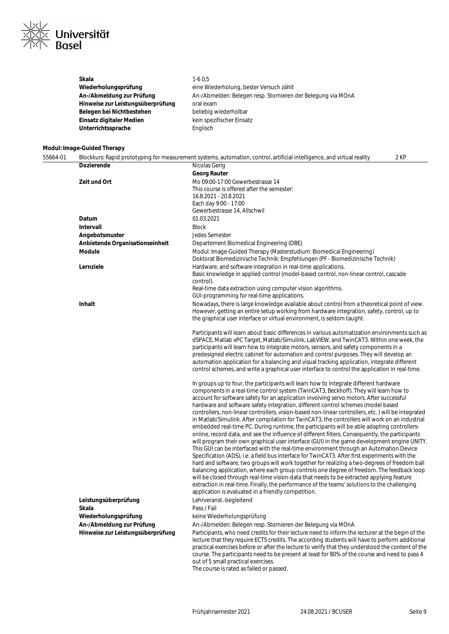

| Skala                             | $1-60.5$                                                     |
|-----------------------------------|--------------------------------------------------------------|
| Wiederholungsprüfung              | eine Wiederholung, bester Versuch zählt                      |
| An-/Abmeldung zur Prüfung         | An-/Abmelden: Belegen resp. Stornieren der Belegung via MOnA |
| Hinweise zur Leistungsüberprüfung | oral exam                                                    |
| Belegen bei Nichtbestehen         | beliebig wiederholbar                                        |
| Einsatz digitaler Medien          | kein spezifischer Einsatz                                    |
| Unterrichtssprache                | Englisch                                                     |
|                                   |                                                              |

# **Modul: Image-Guided Therapy**

| 55664-01 |                                                   | 2 KP<br>Blockkurs: Rapid prototyping for measurement systems, automation, control, artificial intelligence, and virtual reality                                                              |
|----------|---------------------------------------------------|----------------------------------------------------------------------------------------------------------------------------------------------------------------------------------------------|
|          | <b>Dozierende</b>                                 | Nicolas Gerig                                                                                                                                                                                |
|          |                                                   | <b>Georg Rauter</b>                                                                                                                                                                          |
|          | Zeit und Ort                                      | Mo 09:00-17:00 Gewerbestrasse 14                                                                                                                                                             |
|          |                                                   | This course is offered after the semester:                                                                                                                                                   |
|          |                                                   | 16.8.2021 - 20.8.2021                                                                                                                                                                        |
|          |                                                   | Each day 9:00 - 17:00                                                                                                                                                                        |
|          |                                                   | Gewerbestrasse 14, Allschwil                                                                                                                                                                 |
|          | Datum                                             | 01.03.2021                                                                                                                                                                                   |
|          | Intervall                                         | <b>Block</b>                                                                                                                                                                                 |
|          | Angebotsmuster                                    | Jedes Semester                                                                                                                                                                               |
|          | Anbietende Organisationseinheit                   | Departement Biomedical Engineering (DBE)                                                                                                                                                     |
|          | Module                                            | Modul: Image-Guided Therapy (Masterstudium: Biomedical Engineering)<br>Doktorat Biomedizinische Technik: Empfehlungen (PF - Biomedizinische Technik)                                         |
|          | Lernziele                                         | Hardware, and software integration in real-time applications.                                                                                                                                |
|          |                                                   | Basic knowledge in applied control (model-based control, non-linear control, cascade<br>control).                                                                                            |
|          |                                                   | Real-time data extraction using computer vision algorithms.<br>GUI-programming for real-time applications.                                                                                   |
|          | Inhalt                                            | Nowadays, there is large knowledge available about control from a theoretical point of view.                                                                                                 |
|          |                                                   | However, getting an entire setup working from hardware integration, safety, control, up to                                                                                                   |
|          |                                                   | the graphical user interface or virtual environment, is seldom taught.                                                                                                                       |
|          |                                                   | Participants will learn about basic differences in various automatization environments such as                                                                                               |
|          |                                                   | dSPACE, Matlab xPC Target, Matlab/Simulink, LabVIEW, and TwinCAT3. Within one week, the                                                                                                      |
|          |                                                   | participants will learn how to integrate motors, sensors, and safety components in a                                                                                                         |
|          |                                                   | predesigned electric cabinet for automation and control purposes. They will develop an                                                                                                       |
|          |                                                   | automation application for a balancing and visual tracking application, integrate different                                                                                                  |
|          |                                                   | control schemes, and write a graphical user interface to control the application in real-time.                                                                                               |
|          |                                                   | In groups up to four, the participants will learn how to integrate different hardware                                                                                                        |
|          |                                                   | components in a real-time control system (TwinCAT3, Beckhoff). They will learn how to                                                                                                        |
|          |                                                   | account for software safety for an application involving servo motors. After successful                                                                                                      |
|          |                                                   | hardware and software safety integration, different control schemes (model based                                                                                                             |
|          |                                                   | controllers, non-linear controllers, vision-based non-linear controllers, etc.) will be integrated                                                                                           |
|          |                                                   | in Matlab/Simulink. After compilation for TwinCAT3, the controllers will work on an industrial<br>embedded real-time PC. During runtime, the participants will be able adapting controllers- |
|          |                                                   | online, record data, and see the influence of different filters. Consequently, the participants                                                                                              |
|          |                                                   | will program their own graphical user interface (GUI) in the game development engine UNITY.                                                                                                  |
|          |                                                   | This GUI can be interfaced with the real-time environment through an Automation Device                                                                                                       |
|          |                                                   | Specification (ADS), i.e. a field bus interface for TwinCAT3. After first experiments with the                                                                                               |
|          |                                                   | hard and software, two groups will work together for realizing a two-degrees of freedom ball                                                                                                 |
|          |                                                   | balancing application, where each group controls one degree of freedom. The feedback loop                                                                                                    |
|          |                                                   | will be closed through real-time vision-data that needs to be extracted applying feature                                                                                                     |
|          |                                                   | extraction in real-time. Finally, the performance of the teams' solutions to the challenging                                                                                                 |
|          | Leistungsüberprüfung                              | application is evaluated in a friendly competition.                                                                                                                                          |
|          | Skala                                             | Lehrveranst.-begleitend<br>Pass / Fail                                                                                                                                                       |
|          |                                                   |                                                                                                                                                                                              |
|          | Wiederholungsprüfung<br>An-/Abmeldung zur Prüfung | keine Wiederholungsprüfung<br>An-/Abmelden: Belegen resp. Stornieren der Belegung via MOnA                                                                                                   |
|          | Hinweise zur Leistungsüberprüfung                 | Participants, who need credits for their lecture need to inform the lecturer at the begin of the                                                                                             |
|          |                                                   | lecture that they require ECTS credits. The according students will have to perform additional                                                                                               |
|          |                                                   | practical exercises before or after the lecture to verify that they understood the content of the                                                                                            |
|          |                                                   | course. The participants need to be present at least for 80% of the course and need to pass 4                                                                                                |
|          |                                                   | out of 5 small practical exercises.                                                                                                                                                          |
|          |                                                   | The course is rated as failed or passed.                                                                                                                                                     |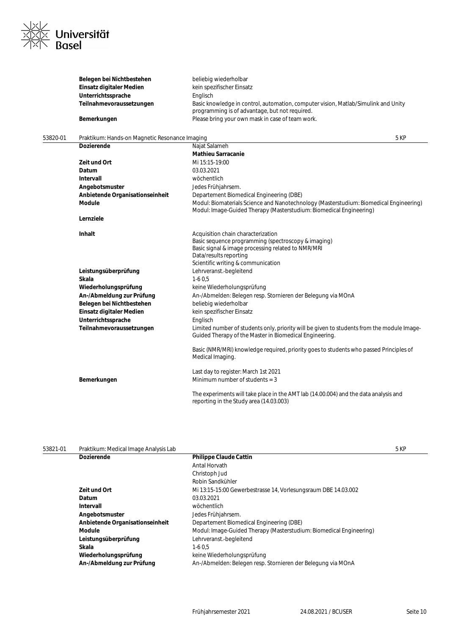

| Belegen bei Nichtbestehen<br>Einsatz digitaler Medien | beliebig wiederholbar<br>kein spezifischer Einsatz                                                                                   |
|-------------------------------------------------------|--------------------------------------------------------------------------------------------------------------------------------------|
| Unterrichtssprache                                    | Englisch                                                                                                                             |
| Teilnahmevoraussetzungen                              | Basic knowledge in control, automation, computer vision, Matlab/Simulink and Unity<br>programming is of advantage, but not required. |
| Bemerkungen                                           | Please bring your own mask in case of team work.                                                                                     |

| 53820-01 | Praktikum: Hands-on Magnetic Resonance Imaging | 5 KP                                                                                                                                                                                                            |  |
|----------|------------------------------------------------|-----------------------------------------------------------------------------------------------------------------------------------------------------------------------------------------------------------------|--|
|          | <b>Dozierende</b>                              | Najat Salameh                                                                                                                                                                                                   |  |
|          |                                                | <b>Mathieu Sarracanie</b>                                                                                                                                                                                       |  |
|          | Zeit und Ort                                   | Mi 15:15-19:00                                                                                                                                                                                                  |  |
|          | Datum                                          | 03.03.2021                                                                                                                                                                                                      |  |
|          | Intervall                                      | wöchentlich                                                                                                                                                                                                     |  |
|          | Angebotsmuster                                 | Jedes Frühjahrsem.                                                                                                                                                                                              |  |
|          | Anbietende Organisationseinheit                | Departement Biomedical Engineering (DBE)                                                                                                                                                                        |  |
|          | <b>Module</b>                                  | Modul: Biomaterials Science and Nanotechnology (Masterstudium: Biomedical Engineering)<br>Modul: Image-Guided Therapy (Masterstudium: Biomedical Engineering)                                                   |  |
|          | Lernziele                                      |                                                                                                                                                                                                                 |  |
|          | <b>Inhalt</b>                                  | Acquisition chain characterization<br>Basic sequence programming (spectroscopy & imaging)<br>Basic signal & image processing related to NMR/MRI<br>Data/results reporting<br>Scientific writing & communication |  |
|          | Leistungsüberprüfung                           | Lehrveranst.-begleitend                                                                                                                                                                                         |  |
|          | Skala                                          | $1-60,5$                                                                                                                                                                                                        |  |
|          | Wiederholungsprüfung                           | keine Wiederholungsprüfung                                                                                                                                                                                      |  |
|          | An-/Abmeldung zur Prüfung                      | An-/Abmelden: Belegen resp. Stornieren der Belegung via MOnA                                                                                                                                                    |  |
|          | Belegen bei Nichtbestehen                      | beliebig wiederholbar                                                                                                                                                                                           |  |
|          | Einsatz digitaler Medien                       | kein spezifischer Einsatz                                                                                                                                                                                       |  |
|          | Unterrichtssprache                             | Englisch                                                                                                                                                                                                        |  |
|          | Teilnahmevoraussetzungen                       | Limited number of students only, priority will be given to students from the module Image-<br>Guided Therapy of the Master in Biomedical Engineering.                                                           |  |
|          |                                                | Basic (NMR/MRI) knowledge required, priority goes to students who passed Principles of<br>Medical Imaging.                                                                                                      |  |
|          |                                                | Last day to register: March 1st 2021                                                                                                                                                                            |  |
|          | Bemerkungen                                    | Minimum number of students $=$ 3                                                                                                                                                                                |  |
|          |                                                | The experiments will take place in the AMT lab (14.00.004) and the data analysis and<br>reporting in the Study area (14.03.003)                                                                                 |  |

| 53821-01 | Praktikum: Medical Image Analysis Lab |                                                                     | 5 KP |
|----------|---------------------------------------|---------------------------------------------------------------------|------|
|          | <b>Dozierende</b>                     | <b>Philippe Claude Cattin</b>                                       |      |
|          |                                       | Antal Horvath                                                       |      |
|          |                                       | Christoph Jud                                                       |      |
|          |                                       | Robin Sandkühler                                                    |      |
|          | Zeit und Ort                          | Mi 13:15-15:00 Gewerbestrasse 14, Vorlesungsraum DBE 14.03.002      |      |
|          | Datum                                 | 03.03.2021                                                          |      |
|          | Intervall                             | wöchentlich                                                         |      |
|          | Angebotsmuster                        | Jedes Frühjahrsem.                                                  |      |
|          | Anbietende Organisationseinheit       | Departement Biomedical Engineering (DBE)                            |      |
|          | <b>Module</b>                         | Modul: Image-Guided Therapy (Masterstudium: Biomedical Engineering) |      |
|          | Leistungsüberprüfung                  | Lehrveranst.-begleitend                                             |      |
|          | Skala                                 | $1-60.5$                                                            |      |
|          | Wiederholungsprüfung                  | keine Wiederholungsprüfung                                          |      |
|          | An-/Abmeldung zur Prüfung             | An-/Abmelden: Belegen resp. Stornieren der Belegung via MOnA        |      |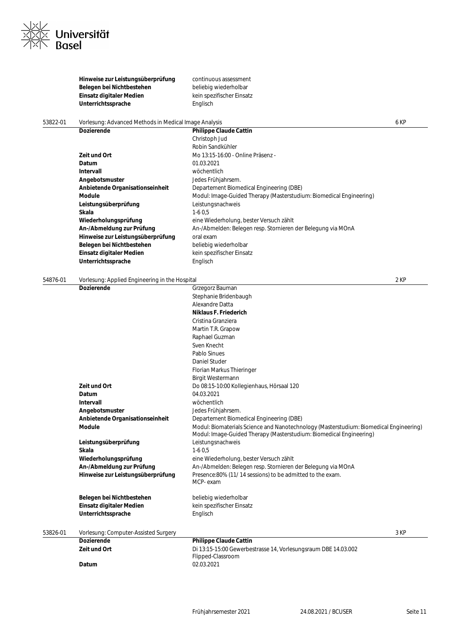

**Hinweise zur Leistungsüberprüfung** continuous assessment **Belegen bei Nichtbestehen**<br> **Einsatz digitaler Medien**<br> **Einsatz digitaler Medien**<br> **Einsatz digitaler Medien Einsatz digitaler Medien Unterrichtssprache** Englisch

### 53822-01 Vorlesung: Advanced Methods in Medical Image Analysis 6 KP

**Dozierende Philippe Claude Cattin** Christoph Jud Robin Sandkühler **Zeit und Ort** Mo 13:15-16:00 - Online Präsenz -**Datum** 01.03.2021 **Intervall** wöchentlich **Angebotsmuster** Jedes Frühjahrsem. **Anbietende Organisationseinheit** Departement Biomedical Engineering (DBE) **Module** Modul: Image-Guided Therapy (Masterstudium: Biomedical Engineering) **Leistungsüberprüfung** Leistungsnachweis **Skala** 1-6 0,5 Wiederholungsprüfung **eine Wiederholung, bester Versuch zählt** An-/Abmeldung zur Prüfung **An-/Abmelden: Belegen resp. Stornieren der Belegung via MOnA Hinweise zur Leistungsüberprüfung** oral exam Belegen bei Nichtbestehen beliebig wiederholbar **Einsatz digitaler Medien** kein spezifischer Einsatz Unterrichtssprache **Englisch** 

## 54876-01 Vorlesung: Applied Engineering in the Hospital 2 KP

|          | Datum                                | Flipped-Classroom<br>02.03.2021                                                        |      |
|----------|--------------------------------------|----------------------------------------------------------------------------------------|------|
|          | <b>Zeit und Ort</b>                  | Di 13:15-15:00 Gewerbestrasse 14, Vorlesungsraum DBE 14.03.002                         |      |
|          | <b>Dozierende</b>                    | <b>Philippe Claude Cattin</b>                                                          |      |
| 53826-01 | Vorlesung: Computer-Assisted Surgery |                                                                                        | 3 KP |
|          | Unterrichtssprache                   | Englisch                                                                               |      |
|          | Einsatz digitaler Medien             | kein spezifischer Einsatz                                                              |      |
|          | Belegen bei Nichtbestehen            | beliebig wiederholbar                                                                  |      |
|          |                                      |                                                                                        |      |
|          |                                      | MCP-exam                                                                               |      |
|          | Hinweise zur Leistungsüberprüfung    | Presence:80% (11/14 sessions) to be admitted to the exam.                              |      |
|          | An-/Abmeldung zur Prüfung            | An-/Abmelden: Belegen resp. Stornieren der Belegung via MOnA                           |      |
|          | Wiederholungsprüfung                 | eine Wiederholung, bester Versuch zählt                                                |      |
|          | Leistungsüberprüfung<br>Skala        | Leistungsnachweis<br>$1-60.5$                                                          |      |
|          |                                      | Modul: Image-Guided Therapy (Masterstudium: Biomedical Engineering)                    |      |
|          | <b>Module</b>                        | Modul: Biomaterials Science and Nanotechnology (Masterstudium: Biomedical Engineering) |      |
|          | Anbietende Organisationseinheit      | Departement Biomedical Engineering (DBE)                                               |      |
|          | Angebotsmuster                       | Jedes Frühjahrsem.                                                                     |      |
|          | Intervall                            | wöchentlich                                                                            |      |
|          | Datum                                | 04.03.2021                                                                             |      |
|          | Zeit und Ort                         | Do 08:15-10:00 Kollegienhaus, Hörsaal 120                                              |      |
|          |                                      | <b>Birgit Westermann</b>                                                               |      |
|          |                                      | Florian Markus Thieringer                                                              |      |
|          |                                      | Daniel Studer                                                                          |      |
|          |                                      | Pablo Sinues                                                                           |      |
|          |                                      | Sven Knecht                                                                            |      |
|          |                                      | Raphael Guzman                                                                         |      |
|          |                                      | Martin T.R. Grapow                                                                     |      |
|          |                                      | Cristina Granziera                                                                     |      |
|          |                                      | <b>Niklaus F. Friederich</b>                                                           |      |
|          |                                      | Alexandre Datta                                                                        |      |
|          |                                      | Stephanie Bridenbaugh                                                                  |      |
|          | <b>Dozierende</b>                    | Grzegorz Bauman                                                                        |      |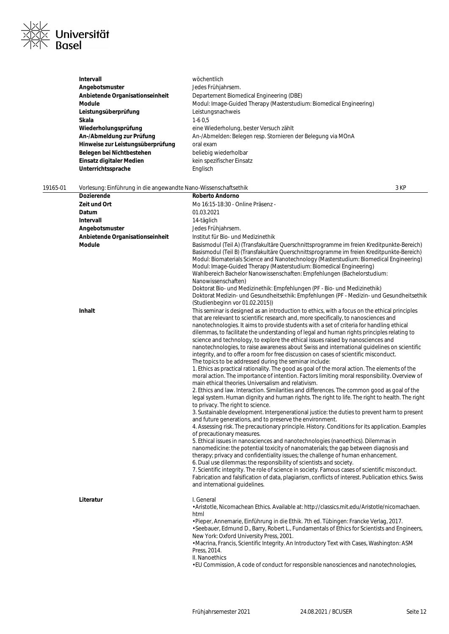

|          | Intervall<br>Angebotsmuster<br>Anbietende Organisationseinheit<br><b>Module</b><br>Leistungsüberprüfung<br>Skala<br>Wiederholungsprüfung<br>An-/Abmeldung zur Prüfung<br>Hinweise zur Leistungsüberprüfung<br>Belegen bei Nichtbestehen | wöchentlich<br>Jedes Frühjahrsem.<br>Departement Biomedical Engineering (DBE)<br>Modul: Image-Guided Therapy (Masterstudium: Biomedical Engineering)<br>Leistungsnachweis<br>$1-60,5$<br>eine Wiederholung, bester Versuch zählt<br>An-/Abmelden: Belegen resp. Stornieren der Belegung via MOnA<br>oral exam<br>beliebig wiederholbar                                                                                                                                                                                                                                                                                                                                                                                                                                                                                                                                                                                                                                                                                                                                                                                                                                                                                                                                                                                                                                                                                                                                                                                                                                                                                                                                                                                                                                                                                                                                                                                                                                                                                                                                                                   |
|----------|-----------------------------------------------------------------------------------------------------------------------------------------------------------------------------------------------------------------------------------------|----------------------------------------------------------------------------------------------------------------------------------------------------------------------------------------------------------------------------------------------------------------------------------------------------------------------------------------------------------------------------------------------------------------------------------------------------------------------------------------------------------------------------------------------------------------------------------------------------------------------------------------------------------------------------------------------------------------------------------------------------------------------------------------------------------------------------------------------------------------------------------------------------------------------------------------------------------------------------------------------------------------------------------------------------------------------------------------------------------------------------------------------------------------------------------------------------------------------------------------------------------------------------------------------------------------------------------------------------------------------------------------------------------------------------------------------------------------------------------------------------------------------------------------------------------------------------------------------------------------------------------------------------------------------------------------------------------------------------------------------------------------------------------------------------------------------------------------------------------------------------------------------------------------------------------------------------------------------------------------------------------------------------------------------------------------------------------------------------------|
|          | Einsatz digitaler Medien<br>Unterrichtssprache                                                                                                                                                                                          | kein spezifischer Einsatz<br>Englisch                                                                                                                                                                                                                                                                                                                                                                                                                                                                                                                                                                                                                                                                                                                                                                                                                                                                                                                                                                                                                                                                                                                                                                                                                                                                                                                                                                                                                                                                                                                                                                                                                                                                                                                                                                                                                                                                                                                                                                                                                                                                    |
| 19165-01 | Vorlesung: Einführung in die angewandte Nano-Wissenschaftsethik                                                                                                                                                                         | 3 KP                                                                                                                                                                                                                                                                                                                                                                                                                                                                                                                                                                                                                                                                                                                                                                                                                                                                                                                                                                                                                                                                                                                                                                                                                                                                                                                                                                                                                                                                                                                                                                                                                                                                                                                                                                                                                                                                                                                                                                                                                                                                                                     |
|          | Dozierende                                                                                                                                                                                                                              | <b>Roberto Andorno</b>                                                                                                                                                                                                                                                                                                                                                                                                                                                                                                                                                                                                                                                                                                                                                                                                                                                                                                                                                                                                                                                                                                                                                                                                                                                                                                                                                                                                                                                                                                                                                                                                                                                                                                                                                                                                                                                                                                                                                                                                                                                                                   |
|          | Zeit und Ort                                                                                                                                                                                                                            | Mo 16:15-18:30 - Online Präsenz -                                                                                                                                                                                                                                                                                                                                                                                                                                                                                                                                                                                                                                                                                                                                                                                                                                                                                                                                                                                                                                                                                                                                                                                                                                                                                                                                                                                                                                                                                                                                                                                                                                                                                                                                                                                                                                                                                                                                                                                                                                                                        |
|          | Datum                                                                                                                                                                                                                                   | 01.03.2021                                                                                                                                                                                                                                                                                                                                                                                                                                                                                                                                                                                                                                                                                                                                                                                                                                                                                                                                                                                                                                                                                                                                                                                                                                                                                                                                                                                                                                                                                                                                                                                                                                                                                                                                                                                                                                                                                                                                                                                                                                                                                               |
|          | Intervall                                                                                                                                                                                                                               | 14-täglich                                                                                                                                                                                                                                                                                                                                                                                                                                                                                                                                                                                                                                                                                                                                                                                                                                                                                                                                                                                                                                                                                                                                                                                                                                                                                                                                                                                                                                                                                                                                                                                                                                                                                                                                                                                                                                                                                                                                                                                                                                                                                               |
|          | Angebotsmuster                                                                                                                                                                                                                          | Jedes Frühjahrsem.                                                                                                                                                                                                                                                                                                                                                                                                                                                                                                                                                                                                                                                                                                                                                                                                                                                                                                                                                                                                                                                                                                                                                                                                                                                                                                                                                                                                                                                                                                                                                                                                                                                                                                                                                                                                                                                                                                                                                                                                                                                                                       |
|          | Anbietende Organisationseinheit                                                                                                                                                                                                         | Institut für Bio- und Medizinethik                                                                                                                                                                                                                                                                                                                                                                                                                                                                                                                                                                                                                                                                                                                                                                                                                                                                                                                                                                                                                                                                                                                                                                                                                                                                                                                                                                                                                                                                                                                                                                                                                                                                                                                                                                                                                                                                                                                                                                                                                                                                       |
|          | <b>Module</b>                                                                                                                                                                                                                           | Basismodul (Teil A) (Transfakultäre Querschnittsprogramme im freien Kreditpunkte-Bereich)<br>Basismodul (Teil B) (Transfakultäre Querschnittsprogramme im freien Kreditpunkte-Bereich)<br>Modul: Biomaterials Science and Nanotechnology (Masterstudium: Biomedical Engineering)<br>Modul: Image-Guided Therapy (Masterstudium: Biomedical Engineering)<br>Wahlbereich Bachelor Nanowissenschaften: Empfehlungen (Bachelorstudium:<br>Nanowissenschaften)<br>Doktorat Bio- und Medizinethik: Empfehlungen (PF - Bio- und Medizinethik)<br>Doktorat Medizin- und Gesundheitsethik: Empfehlungen (PF - Medizin- und Gesundheitsethik<br>(Studienbeginn vor 01.02.2015))                                                                                                                                                                                                                                                                                                                                                                                                                                                                                                                                                                                                                                                                                                                                                                                                                                                                                                                                                                                                                                                                                                                                                                                                                                                                                                                                                                                                                                    |
|          | Inhalt                                                                                                                                                                                                                                  | This seminar is designed as an introduction to ethics, with a focus on the ethical principles<br>that are relevant to scientific research and, more specifically, to nanosciences and<br>nanotechnologies. It aims to provide students with a set of criteria for handling ethical<br>dilemmas, to facilitate the understanding of legal and human rights principles relating to<br>science and technology, to explore the ethical issues raised by nanosciences and<br>nanotechnologies, to raise awareness about Swiss and international guidelines on scientific<br>integrity, and to offer a room for free discussion on cases of scientific misconduct.<br>The topics to be addressed during the seminar include:<br>1. Ethics as practical rationality. The good as goal of the moral action. The elements of the<br>moral action. The importance of intention. Factors limiting moral responsibility. Overview of<br>main ethical theories. Universalism and relativism.<br>2. Ethics and law. Interaction. Similarities and differences. The common good as goal of the<br>legal system. Human dignity and human rights. The right to life. The right to health. The right<br>to privacy. The right to science.<br>3. Sustainable development. Intergenerational justice: the duties to prevent harm to present<br>and future generations, and to preserve the environment.<br>4. Assessing risk. The precautionary principle. History. Conditions for its application. Examples<br>of precautionary measures.<br>5. Ethical issues in nanosciences and nanotechnologies (nanoethics). Dilemmas in<br>nanomedicine: the potential toxicity of nanomaterials; the gap between diagnosis and<br>therapy; privacy and confidentiality issues; the challenge of human enhancement.<br>6. Dual use dilemmas: the responsibility of scientists and society.<br>7. Scientific integrity. The role of science in society. Famous cases of scientific misconduct.<br>Fabrication and falsification of data, plagiarism, conflicts of interest. Publication ethics. Swiss<br>and international guidelines. |
|          | Literatur                                                                                                                                                                                                                               | I. General<br>· Aristotle, Nicomachean Ethics. Available at: http://classics.mit.edu/Aristotle/nicomachaen.<br>html<br>· Pieper, Annemarie, Einführung in die Ethik. 7th ed. Tübingen: Francke Verlag, 2017.<br>• Seebauer, Edmund D., Barry, Robert L., Fundamentals of Ethics for Scientists and Engineers,<br>New York: Oxford University Press, 2001.<br>· Macrina, Francis, Scientific Integrity. An Introductory Text with Cases, Washington: ASM<br>Press, 2014.<br>II. Nanoethics<br>• EU Commission, A code of conduct for responsible nanosciences and nanotechnologies,                                                                                                                                                                                                                                                                                                                                                                                                                                                                                                                                                                                                                                                                                                                                                                                                                                                                                                                                                                                                                                                                                                                                                                                                                                                                                                                                                                                                                                                                                                                       |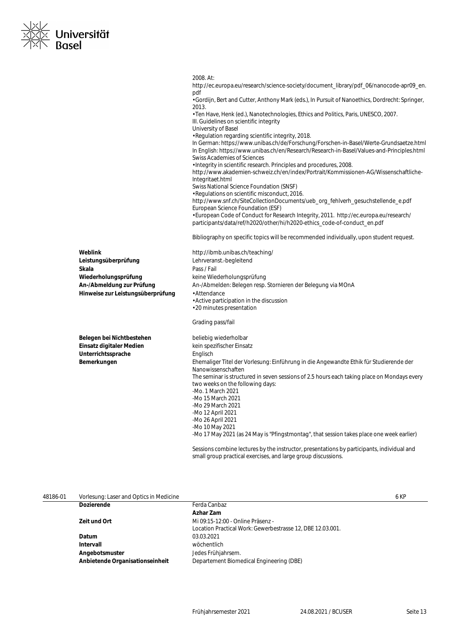|                                   | 2008. At:                                                                                                                                    |
|-----------------------------------|----------------------------------------------------------------------------------------------------------------------------------------------|
|                                   | http://ec.europa.eu/research/science-society/document_library/pdf_06/nanocode-apr09_en.                                                      |
|                                   | pdf<br>. Gordijn, Bert and Cutter, Anthony Mark (eds.), In Pursuit of Nanoethics, Dordrecht: Springer,                                       |
|                                   | 2013.                                                                                                                                        |
|                                   | • Ten Have, Henk (ed.), Nanotechnologies, Ethics and Politics, Paris, UNESCO, 2007.                                                          |
|                                   | III. Guidelines on scientific integrity                                                                                                      |
|                                   | University of Basel                                                                                                                          |
|                                   | · Regulation regarding scientific integrity, 2018.<br>In German: https://www.unibas.ch/de/Forschung/Forschen-in-Basel/Werte-Grundsaetze.html |
|                                   | In English: https://www.unibas.ch/en/Research/Research-in-Basel/Values-and-Principles.html                                                   |
|                                   | <b>Swiss Academies of Sciences</b>                                                                                                           |
|                                   | . Integrity in scientific research. Principles and procedures, 2008.                                                                         |
|                                   | http://www.akademien-schweiz.ch/en/index/Portrait/Kommissionen-AG/Wissenschaftliche-                                                         |
|                                   | Integritaet.html<br>Swiss National Science Foundation (SNSF)                                                                                 |
|                                   | · Regulations on scientific misconduct, 2016.                                                                                                |
|                                   | http://www.snf.ch/SiteCollectionDocuments/ueb_org_fehlverh_gesuchstellende_e.pdf                                                             |
|                                   | European Science Foundation (ESF)                                                                                                            |
|                                   | · European Code of Conduct for Research Integrity, 2011. http://ec.europa.eu/research/                                                       |
|                                   | participants/data/ref/h2020/other/hi/h2020-ethics_code-of-conduct_en.pdf                                                                     |
|                                   | Bibliography on specific topics will be recommended individually, upon student request.                                                      |
| Weblink                           | http://ibmb.unibas.ch/teaching/                                                                                                              |
| Leistungsüberprüfung              | Lehrveranst.-begleitend                                                                                                                      |
| Skala                             | Pass / Fail                                                                                                                                  |
| Wiederholungsprüfung              | keine Wiederholungsprüfung                                                                                                                   |
| An-/Abmeldung zur Prüfung         | An-/Abmelden: Belegen resp. Stornieren der Belegung via MOnA                                                                                 |
| Hinweise zur Leistungsüberprüfung | · Attendance                                                                                                                                 |
|                                   | • Active participation in the discussion<br>•20 minutes presentation                                                                         |
|                                   |                                                                                                                                              |
|                                   | Grading pass/fail                                                                                                                            |
| Belegen bei Nichtbestehen         | beliebig wiederholbar                                                                                                                        |
| Einsatz digitaler Medien          | kein spezifischer Einsatz                                                                                                                    |
| Unterrichtssprache                | Englisch                                                                                                                                     |
| Bemerkungen                       | Ehemaliger Titel der Vorlesung: Einführung in die Angewandte Ethik für Studierende der                                                       |
|                                   | Nanowissenschaften<br>The seminar is structured in seven sessions of 2.5 hours each taking place on Mondays every                            |
|                                   | two weeks on the following days:                                                                                                             |
|                                   | -Mo. 1 March 2021                                                                                                                            |
|                                   | -Mo 15 March 2021                                                                                                                            |
|                                   | -Mo 29 March 2021                                                                                                                            |
|                                   | -Mo 12 April 2021                                                                                                                            |
|                                   | -Mo 26 April 2021<br>-Mo 10 May 2021                                                                                                         |
|                                   | -Mo 17 May 2021 (as 24 May is "Pfingstmontag", that session takes place one week earlier)                                                    |
|                                   |                                                                                                                                              |
|                                   | Sessions combine lectures by the instructor, presentations by participants, individual and                                                   |
|                                   | small group practical exercises, and large group discussions.                                                                                |
|                                   |                                                                                                                                              |

| 48186-01 | Vorlesung: Laser and Optics in Medicine |                                                          | 6 KF |
|----------|-----------------------------------------|----------------------------------------------------------|------|
|          | <b>Dozierende</b>                       | Ferda Canbaz                                             |      |
|          |                                         | Azhar Zam                                                |      |
|          | Zeit und Ort                            | Mi 09:15-12:00 - Online Präsenz -                        |      |
|          |                                         | Location Practical Work: Gewerbestrasse 12 DRE 12 03 001 |      |

**Angebotsmuster** Jedes Frühjahrsem.

Location Practical Work: Gewerbestrasse 12, DBE 12.03.001. **Datum** 03.03.2021 **Intervall** wöchentlich **Anbietende Organisationseinheit** Departement Biomedical Engineering (DBE)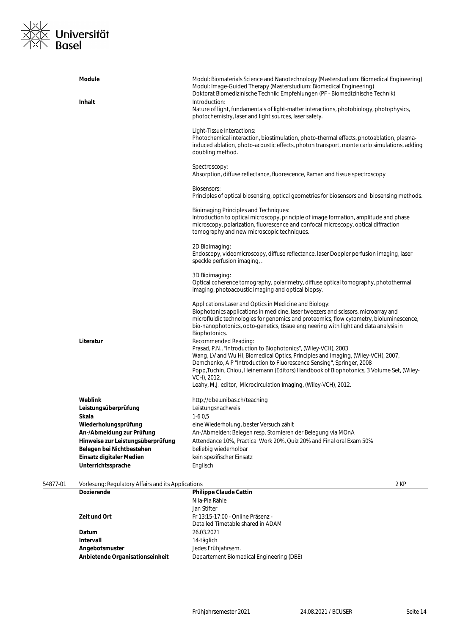

| Module<br>Inhalt                  | Modul: Biomaterials Science and Nanotechnology (Masterstudium: Biomedical Engineering)<br>Modul: Image-Guided Therapy (Masterstudium: Biomedical Engineering)<br>Doktorat Biomedizinische Technik: Empfehlungen (PF - Biomedizinische Technik)<br>Introduction:<br>Nature of light, fundamentals of light-matter interactions, photobiology, photophysics,<br>photochemistry, laser and light sources, laser safety.                 |
|-----------------------------------|--------------------------------------------------------------------------------------------------------------------------------------------------------------------------------------------------------------------------------------------------------------------------------------------------------------------------------------------------------------------------------------------------------------------------------------|
|                                   | Light-Tissue Interactions:<br>Photochemical interaction, biostimulation, photo-thermal effects, photoablation, plasma-<br>induced ablation, photo-acoustic effects, photon transport, monte carlo simulations, adding<br>doubling method.                                                                                                                                                                                            |
|                                   | Spectroscopy:<br>Absorption, diffuse reflectance, fluorescence, Raman and tissue spectroscopy                                                                                                                                                                                                                                                                                                                                        |
|                                   | Biosensors:<br>Principles of optical biosensing, optical geometries for biosensors and biosensing methods.                                                                                                                                                                                                                                                                                                                           |
|                                   | Bioimaging Principles and Techniques:<br>Introduction to optical microscopy, principle of image formation, amplitude and phase<br>microscopy, polarization, fluorescence and confocal microscopy, optical diffraction<br>tomography and new microscopic techniques.                                                                                                                                                                  |
|                                   | 2D Bioimaging:<br>Endoscopy, videomicroscopy, diffuse reflectance, laser Doppler perfusion imaging, laser<br>speckle perfusion imaging,.                                                                                                                                                                                                                                                                                             |
|                                   | 3D Bioimaging:<br>Optical coherence tomography, polarimetry, diffuse optical tomography, photothermal<br>imaging, photoacoustic imaging and optical biopsy.                                                                                                                                                                                                                                                                          |
|                                   | Applications Laser and Optics in Medicine and Biology:<br>Biophotonics applications in medicine, laser tweezers and scissors, microarray and<br>microfluidic technologies for genomics and proteomics, flow cytometry, bioluminescence,<br>bio-nanophotonics, opto-genetics, tissue engineering with light and data analysis in<br>Biophotonics.                                                                                     |
| Literatur                         | Recommended Reading:<br>Prasad, P.N., "Introduction to Biophotonics", (Wiley-VCH), 2003<br>Wang, LV and Wu HI, Biomedical Optics, Principles and Imaging, (Wiley-VCH), 2007,<br>Demchenko, A P "Introduction to Fluorescence Sensing", Springer, 2008<br>Popp, Tuchin, Chiou, Heinemann (Editors) Handbook of Biophotonics, 3 Volume Set, (Wiley-<br>VCH), 2012.<br>Leahy, M.J. editor, Microcirculation Imaging, (Wiley-VCH), 2012. |
| Weblink                           | http://dbe.unibas.ch/teaching                                                                                                                                                                                                                                                                                                                                                                                                        |
| Leistungsüberprüfung              | Leistungsnachweis                                                                                                                                                                                                                                                                                                                                                                                                                    |
| Skala                             | $1-60,5$                                                                                                                                                                                                                                                                                                                                                                                                                             |
| Wiederholungsprüfung              | eine Wiederholung, bester Versuch zählt                                                                                                                                                                                                                                                                                                                                                                                              |
| An-/Abmeldung zur Prüfung         | An-/Abmelden: Belegen resp. Stornieren der Belegung via MOnA                                                                                                                                                                                                                                                                                                                                                                         |
| Hinweise zur Leistungsüberprüfung | Attendance 10%, Practical Work 20%, Quiz 20% and Final oral Exam 50%                                                                                                                                                                                                                                                                                                                                                                 |
| Belegen bei Nichtbestehen         | beliebig wiederholbar                                                                                                                                                                                                                                                                                                                                                                                                                |
| Einsatz digitaler Medien          | kein spezifischer Einsatz                                                                                                                                                                                                                                                                                                                                                                                                            |
| Unterrichtssprache                | Englisch                                                                                                                                                                                                                                                                                                                                                                                                                             |

| 54877-01 | Vorlesung: Regulatory Affairs and its Applications |                                          | 2 KP |
|----------|----------------------------------------------------|------------------------------------------|------|
|          | <b>Dozierende</b>                                  | <b>Philippe Claude Cattin</b>            |      |
|          |                                                    | Nila-Pia Rähle                           |      |
|          |                                                    | Jan Stifter                              |      |
|          | Zeit und Ort                                       | Fr 13:15-17:00 - Online Präsenz -        |      |
|          |                                                    | Detailed Timetable shared in ADAM        |      |
|          | Datum                                              | 26.03.2021                               |      |
|          | Intervall                                          | 14-täglich                               |      |
|          | Angebotsmuster                                     | Jedes Frühjahrsem.                       |      |
|          | Anbietende Organisationseinheit                    | Departement Biomedical Engineering (DBE) |      |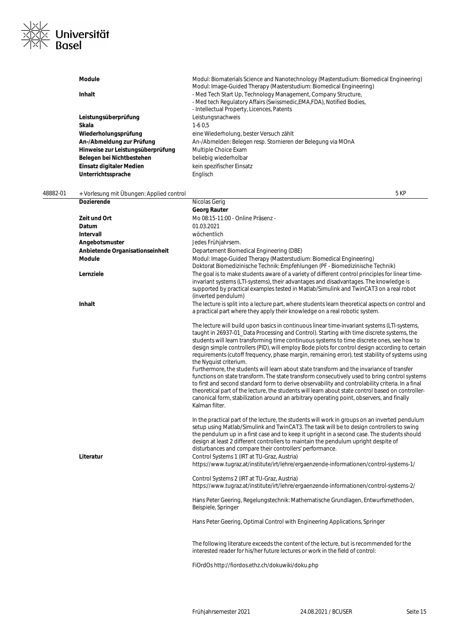

| Module                            | Modul: Biomaterials Science and Nanotechnology (Masterstudium: Biomedical Engineering) |
|-----------------------------------|----------------------------------------------------------------------------------------|
|                                   | Modul: Image-Guided Therapy (Masterstudium: Biomedical Engineering)                    |
| Inhalt                            | - Med Tech Start Up, Technology Management, Company Structure,                         |
|                                   | - Med tech Regulatory Affairs (Swissmedic, EMA, FDA), Notified Bodies,                 |
|                                   | - Intellectual Property, Licences, Patents                                             |
| Leistungsüberprüfung              | Leistungsnachweis                                                                      |
| Skala                             | $1-60.5$                                                                               |
| Wiederholungsprüfung              | eine Wiederholung, bester Versuch zählt                                                |
| An-/Abmeldung zur Prüfung         | An-/Abmelden: Belegen resp. Stornieren der Belegung via MOnA                           |
| Hinweise zur Leistungsüberprüfung | Multiple Choice Exam                                                                   |
| Belegen bei Nichtbestehen         | beliebig wiederholbar                                                                  |
| Einsatz digitaler Medien          | kein spezifischer Einsatz                                                              |
| Unterrichtssprache                | Englisch                                                                               |

| 48882-01 | + Vorlesung mit Übungen: Applied control |                                                                                                                                                                                                                                                                                                                                                                                                                                                                                                                                                                                                                                                                                                                                                                                                                                                                                                                                                                                                                                                | 5 KP |
|----------|------------------------------------------|------------------------------------------------------------------------------------------------------------------------------------------------------------------------------------------------------------------------------------------------------------------------------------------------------------------------------------------------------------------------------------------------------------------------------------------------------------------------------------------------------------------------------------------------------------------------------------------------------------------------------------------------------------------------------------------------------------------------------------------------------------------------------------------------------------------------------------------------------------------------------------------------------------------------------------------------------------------------------------------------------------------------------------------------|------|
|          | <b>Dozierende</b>                        | Nicolas Gerig                                                                                                                                                                                                                                                                                                                                                                                                                                                                                                                                                                                                                                                                                                                                                                                                                                                                                                                                                                                                                                  |      |
|          |                                          | <b>Georg Rauter</b>                                                                                                                                                                                                                                                                                                                                                                                                                                                                                                                                                                                                                                                                                                                                                                                                                                                                                                                                                                                                                            |      |
|          | Zeit und Ort                             | Mo 08:15-11:00 - Online Präsenz -                                                                                                                                                                                                                                                                                                                                                                                                                                                                                                                                                                                                                                                                                                                                                                                                                                                                                                                                                                                                              |      |
|          | Datum                                    | 01.03.2021                                                                                                                                                                                                                                                                                                                                                                                                                                                                                                                                                                                                                                                                                                                                                                                                                                                                                                                                                                                                                                     |      |
|          | Intervall                                | wöchentlich                                                                                                                                                                                                                                                                                                                                                                                                                                                                                                                                                                                                                                                                                                                                                                                                                                                                                                                                                                                                                                    |      |
|          | Angebotsmuster                           | Jedes Frühjahrsem.                                                                                                                                                                                                                                                                                                                                                                                                                                                                                                                                                                                                                                                                                                                                                                                                                                                                                                                                                                                                                             |      |
|          | Anbietende Organisationseinheit          | Departement Biomedical Engineering (DBE)                                                                                                                                                                                                                                                                                                                                                                                                                                                                                                                                                                                                                                                                                                                                                                                                                                                                                                                                                                                                       |      |
|          | <b>Module</b>                            | Modul: Image-Guided Therapy (Masterstudium: Biomedical Engineering)<br>Doktorat Biomedizinische Technik: Empfehlungen (PF - Biomedizinische Technik)                                                                                                                                                                                                                                                                                                                                                                                                                                                                                                                                                                                                                                                                                                                                                                                                                                                                                           |      |
|          | Lernziele                                | The goal is to make students aware of a variety of different control principles for linear time-<br>invariant systems (LTI-systems), their advantages and disadvantages. The knowledge is<br>supported by practical examples tested in Matlab/Simulink and TwinCAT3 on a real robot<br>(inverted pendulum)                                                                                                                                                                                                                                                                                                                                                                                                                                                                                                                                                                                                                                                                                                                                     |      |
|          | Inhalt                                   | The lecture is split into a lecture part, where students learn theoretical aspects on control and<br>a practical part where they apply their knowledge on a real robotic system.                                                                                                                                                                                                                                                                                                                                                                                                                                                                                                                                                                                                                                                                                                                                                                                                                                                               |      |
|          |                                          | The lecture will build upon basics in continuous linear time-invariant systems (LTI-systems,<br>taught in 26937-01_Data Processing and Control). Starting with time discrete systems, the<br>students will learn transforming time continuous systems to time discrete ones, see how to<br>design simple controllers (PID), will employ Bode plots for control design according to certain<br>requirements (cutoff frequency, phase margin, remaining error), test stability of systems using<br>the Nyquist criterium.<br>Furthermore, the students will learn about state transform and the invariance of transfer<br>functions on state transform. The state transform consecutively used to bring control systems<br>to first and second standard form to derive observability and controlability criteria. In a final<br>theoretical part of the lecture, the students will learn about state control based on controller-<br>canonical form, stabilization around an arbitrary operating point, observers, and finally<br>Kalman filter. |      |
|          | Literatur                                | In the practical part of the lecture, the students will work in groups on an inverted pendulum<br>setup using Matlab/Simulink and TwinCAT3. The task will be to design controllers to swing<br>the pendulum up in a first case and to keep it upright in a second case. The students should<br>design at least 2 different controllers to maintain the pendulum upright despite of<br>disturbances and compare their controllers' performance.<br>Control Systems 1 (IRT at TU-Graz, Austria)<br>https://www.tugraz.at/institute/irt/lehre/ergaenzende-informationen/control-systems-1/                                                                                                                                                                                                                                                                                                                                                                                                                                                        |      |
|          |                                          | Control Systems 2 (IRT at TU-Graz, Austria)<br>https://www.tugraz.at/institute/irt/lehre/ergaenzende-informationen/control-systems-2/                                                                                                                                                                                                                                                                                                                                                                                                                                                                                                                                                                                                                                                                                                                                                                                                                                                                                                          |      |
|          |                                          | Hans Peter Geering, Regelungstechnik: Mathematische Grundlagen, Entwurfsmethoden,<br>Beispiele, Springer                                                                                                                                                                                                                                                                                                                                                                                                                                                                                                                                                                                                                                                                                                                                                                                                                                                                                                                                       |      |
|          |                                          | Hans Peter Geering, Optimal Control with Engineering Applications, Springer                                                                                                                                                                                                                                                                                                                                                                                                                                                                                                                                                                                                                                                                                                                                                                                                                                                                                                                                                                    |      |
|          |                                          | The following literature exceeds the content of the lecture, but is recommended for the<br>interested reader for his/her future lectures or work in the field of control:<br>FiOrdOs http://fiordos.ethz.ch/dokuwiki/doku.php                                                                                                                                                                                                                                                                                                                                                                                                                                                                                                                                                                                                                                                                                                                                                                                                                  |      |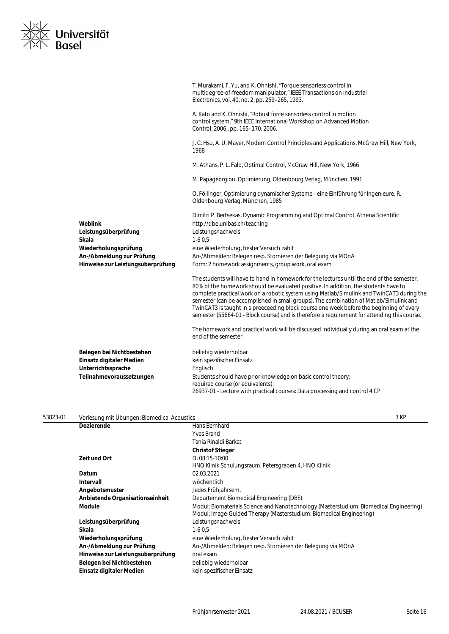

|                                          | T. Murakami, F. Yu, and K. Ohnishi, "Torque sensorless control in<br>multidegree-of-freedom manipulator," IEEE Transactions on Industrial<br>Electronics, vol. 40, no. 2, pp. 259-265, 1993.                                                                                                                                                                                                                                                                                                                                                                        |
|------------------------------------------|---------------------------------------------------------------------------------------------------------------------------------------------------------------------------------------------------------------------------------------------------------------------------------------------------------------------------------------------------------------------------------------------------------------------------------------------------------------------------------------------------------------------------------------------------------------------|
|                                          | A. Kato and K. Ohnishi, "Robust force sensorless control in motion<br>control system," 9th IEEE International Workshop on Advanced Motion<br>Control, 2006., pp. 165-170, 2006.                                                                                                                                                                                                                                                                                                                                                                                     |
|                                          | J. C. Hsu, A. U. Mayer, Modern Control Principles and Applications, McGraw Hill, New York,<br>1968                                                                                                                                                                                                                                                                                                                                                                                                                                                                  |
|                                          | M. Athans, P. L. Falb, Optimal Control, McGraw Hill, New York, 1966                                                                                                                                                                                                                                                                                                                                                                                                                                                                                                 |
|                                          | M. Papageorgiou, Optimierung, Oldenbourg Verlag, München, 1991                                                                                                                                                                                                                                                                                                                                                                                                                                                                                                      |
|                                          | O. Föllinger, Optimierung dynamischer Systeme - eine Einführung für Ingenieure, R.<br>Oldenbourg Verlag, München, 1985                                                                                                                                                                                                                                                                                                                                                                                                                                              |
| Weblink<br>Leistungsüberprüfung<br>Skala | Dimitri P. Bertsekas, Dynamic Programming and Optimal Control, Athena Scientific<br>http://dbe.unibas.ch/teaching<br>Leistungsnachweis<br>$1-60.5$                                                                                                                                                                                                                                                                                                                                                                                                                  |
| Wiederholungsprüfung                     | eine Wiederholung, bester Versuch zählt                                                                                                                                                                                                                                                                                                                                                                                                                                                                                                                             |
| An-/Abmeldung zur Prüfung                | An-/Abmelden: Belegen resp. Stornieren der Belegung via MOnA                                                                                                                                                                                                                                                                                                                                                                                                                                                                                                        |
| Hinweise zur Leistungsüberprüfung        | Form: 2 homework assignments, group work, oral exam                                                                                                                                                                                                                                                                                                                                                                                                                                                                                                                 |
|                                          | The students will have to hand in homework for the lectures until the end of the semester.<br>80% of the homework should be evaluated positive. In addition, the students have to<br>complete practical work on a robotic system using Matlab/Simulink and TwinCAT3 during the<br>semester (can be accomplished in small groups). The combination of Matlab/Simulink and<br>TwinCAT3 is taught in a preeceeding block course one week before the beginning of every<br>semester (55664-01 - Block course) and is therefore a requirement for attending this course. |
|                                          | The homework and practical work will be discussed individually during an oral exam at the<br>end of the semester.                                                                                                                                                                                                                                                                                                                                                                                                                                                   |
| Belegen bei Nichtbestehen                | beliebig wiederholbar                                                                                                                                                                                                                                                                                                                                                                                                                                                                                                                                               |
| Einsatz digitaler Medien                 | kein spezifischer Einsatz                                                                                                                                                                                                                                                                                                                                                                                                                                                                                                                                           |
| Unterrichtssprache                       | Englisch                                                                                                                                                                                                                                                                                                                                                                                                                                                                                                                                                            |
| Teilnahmevoraussetzungen                 | Students should have prior knowledge on basic control theory:                                                                                                                                                                                                                                                                                                                                                                                                                                                                                                       |
|                                          | required course (or equivalents):                                                                                                                                                                                                                                                                                                                                                                                                                                                                                                                                   |
|                                          | 26937-01 - Lecture with practical courses: Data processing and control 4 CP                                                                                                                                                                                                                                                                                                                                                                                                                                                                                         |

| 53823-01 | Vorlesung mit Übungen: Biomedical Acoustics | 3 KF |
|----------|---------------------------------------------|------|
|          |                                             |      |

| <u>VUIICSUNG INIIL ODUNGCH. DIONICUICU ACOUSTICS</u> |                                                                                                                                                               |  |
|------------------------------------------------------|---------------------------------------------------------------------------------------------------------------------------------------------------------------|--|
| <b>Dozierende</b>                                    | Hans Bernhard                                                                                                                                                 |  |
|                                                      | <b>Yves Brand</b>                                                                                                                                             |  |
|                                                      | Tania Rinaldi Barkat                                                                                                                                          |  |
|                                                      | <b>Christof Stieger</b>                                                                                                                                       |  |
| Zeit und Ort                                         | Di 08:15-10:00                                                                                                                                                |  |
|                                                      | HNO Klinik Schulungsraum, Petersgraben 4, HNO Klinik                                                                                                          |  |
| Datum                                                | 02.03.2021                                                                                                                                                    |  |
| Intervall                                            | wöchentlich                                                                                                                                                   |  |
| Angebotsmuster                                       | Jedes Frühjahrsem.                                                                                                                                            |  |
| Anbietende Organisationseinheit                      | Departement Biomedical Engineering (DBE)                                                                                                                      |  |
| <b>Module</b>                                        | Modul: Biomaterials Science and Nanotechnology (Masterstudium: Biomedical Engineering)<br>Modul: Image-Guided Therapy (Masterstudium: Biomedical Engineering) |  |
| Leistungsüberprüfung                                 | Leistungsnachweis                                                                                                                                             |  |
| Skala                                                | $1-60.5$                                                                                                                                                      |  |
| Wiederholungsprüfung                                 | eine Wiederholung, bester Versuch zählt                                                                                                                       |  |
| An-/Abmeldung zur Prüfung                            | An-/Abmelden: Belegen resp. Stornieren der Belegung via MOnA                                                                                                  |  |
| Hinweise zur Leistungsüberprüfung                    | oral exam                                                                                                                                                     |  |
| Belegen bei Nichtbestehen                            | beliebig wiederholbar                                                                                                                                         |  |
| Einsatz digitaler Medien                             | kein spezifischer Einsatz                                                                                                                                     |  |
|                                                      |                                                                                                                                                               |  |